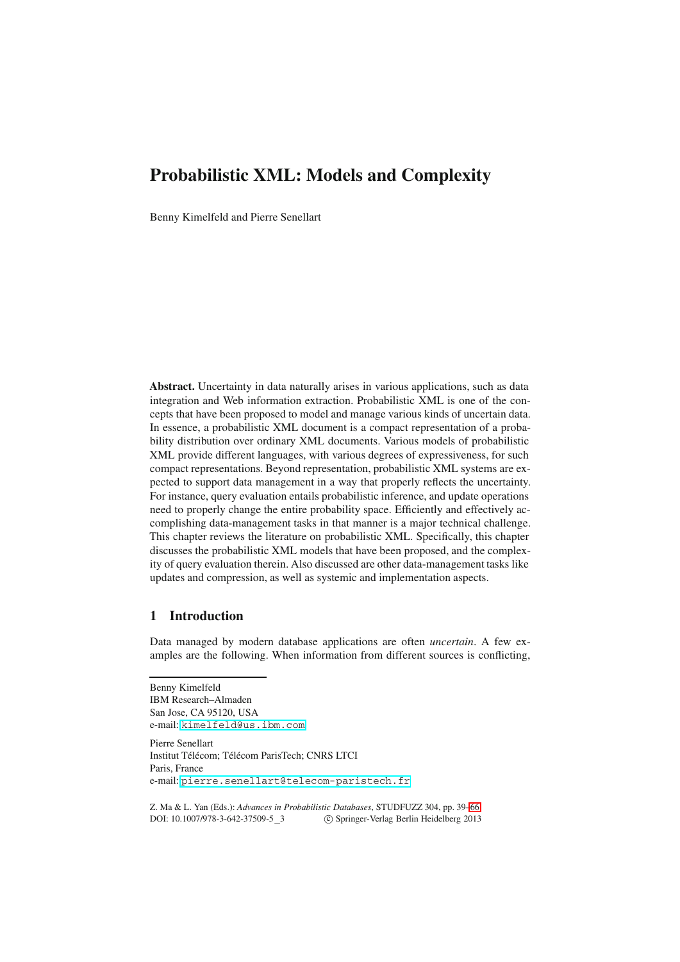Benny Kimelfeld and Pierre Senellart

**Abstract.** Uncertainty in data naturally arises in various applications, such as data integration and Web information extraction. Probabilistic XML is one of the concepts that have been proposed to model and manage various kinds of uncertain data. In essence, a probabilistic XML document is a compact representation of a probability distribution over ordinary XML documents. Various models of probabilistic XML provide different languages, with various degrees of expressiveness, for such compact representations. Beyond representation, probabilistic XML systems are expected to support data management in a way that properly reflects the uncertainty. For instance, query evaluation entails probabilistic inference, and update operations need to properly change the entire probability space. Efficiently and effectively accomplishing data-management tasks in that manner is a major technical challenge. This chapter reviews the literature on probabilistic XML. Specifically, this chapter discusses the probabilistic XML models that have been proposed, and the complexity of query evaluation therein. Also discussed are other data-management tasks like updates and compression, as well as systemic and implementation aspects.

#### **1 Introduction**

Data managed by modern database applications are often *uncertain*. A few examples are the following. When information from different sources is conflicting,

Benny Kimelfeld IBM Research–Almaden San Jose, CA 95120, USA e-mail: <kimelfeld@us.ibm.com>

Pierre Senellart Institut Télécom; Télécom ParisTech; CNRS LTCI Paris, France e-mail: <pierre.senellart@telecom-paristech.fr>

Z. Ma & L. Yan (Eds.): *Advances in Probabilistic Databases*, STUDFUZZ 304, pp. 39[–66.](#page-24-0) DOI: 10.1007/978-3-642-37509-5\_3 
C Springer-Verlag Berlin Heidelberg 2013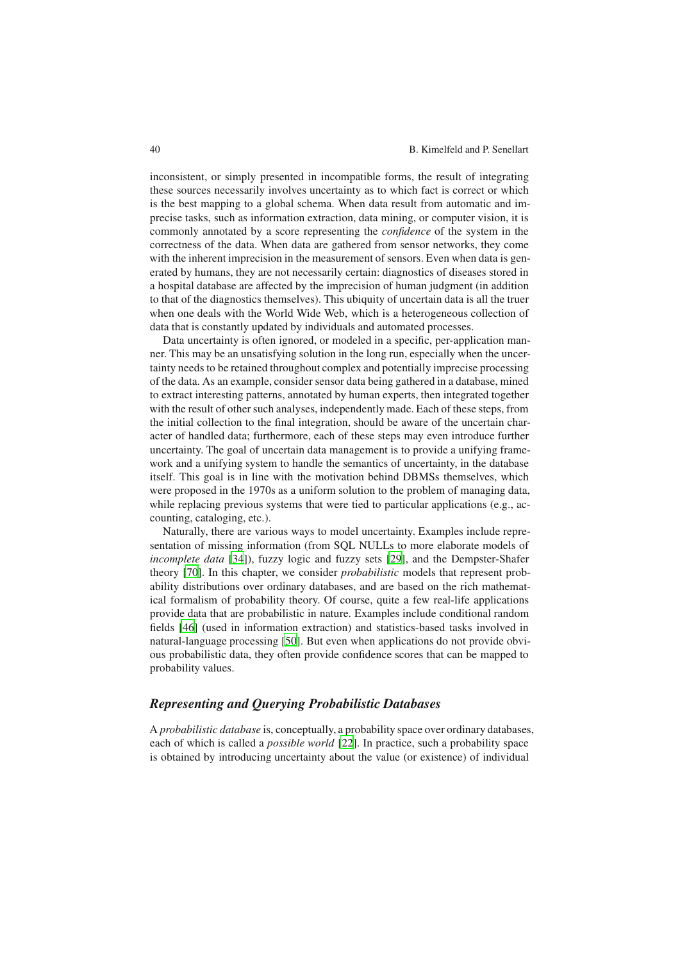#### 40 B. Kimelfeld and P. Senellart

inconsistent, or simply presented in incompatible forms, the result of integrating these sources necessarily involves uncertainty as to which fact is correct or which is the best mapping to a global schema. When data result from automatic and imprecise tasks, such as information extraction, data mining, or computer vision, it is commonly annotated by a score representing the *confidence* of the system in the correctness of the data. When data are gathered from sensor networks, they come with the inherent imprecision in the measurement of sensors. Even when data is generated by humans, they are not necessarily certain: diagnostics of diseases stored in a hospital database are affected by the imprecision of human judgment (in addition to that of the diagnostics themselves). This ubiquity of uncertain data is all the truer when one deals with the World Wide Web, which is a heterogeneous collection of data that is constantly updated by individuals and automated processes.

Data uncertainty is often ignored, or modeled in a specific, per-application manner. This may be an unsatisfying solution in the long run, especially when the uncertainty needs to be retained throughout complex and potentially imprecise processing of the data. As an example, consider sensor data being gathered in a database, mined to extract interesting patterns, annotated by human experts, then integrated together with the result of other such analyses, independently made. Each of these steps, from the initial collection to the final integration, should be aware of the uncertain character of handled data; furthermore, each of these steps may even introduce further uncertainty. The goal of uncertain data management is to provide a unifying framework and a unifying system to handle the semantics of uncertainty, in the database itself. This goal is in line with the motivation behind DBMSs themselves, which were proposed in the 1970s as a uniform solution to the problem of managing data, while replacing previous systems that were tied to particular applications (e.g., accounting, cataloging, etc.).

Naturally, there are various ways to model uncertainty. Examples include representation of missing information (from SQL NULLs to more elaborate models of *incomplete data* [\[34\]](#page-25-0)), fuzzy logic and fuzzy sets [\[29\]](#page-25-1), and the Dempster-Shafer theory [\[70\]](#page-27-0). In this chapter, we consider *probabilistic* models that represent probability distributions over ordinary databases, and are based on the rich mathematical formalism of probability theory. Of course, quite a few real-life applications provide data that are probabilistic in nature. Examples include conditional random fields [\[46\]](#page-26-0) (used in information extraction) and statistics-based tasks involved in natural-language processing [\[50\]](#page-26-1). But even when applications do not provide obvious probabilistic data, they often provide confidence scores that can be mapped to probability values.

#### *Representing and Querying Probabilistic Databases*

A *probabilistic database* is, conceptually, a probability space over ordinary databases, each of which is called a *possible world* [\[22](#page-25-2)]. In practice, such a probability space is obtained by introducing uncertainty about the value (or existence) of individual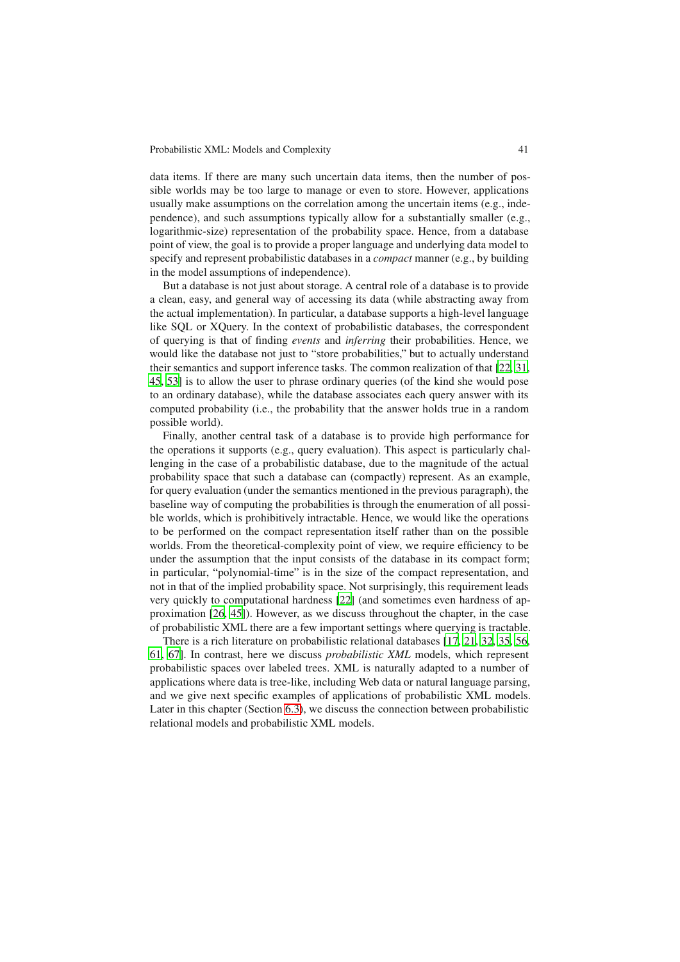data items. If there are many such uncertain data items, then the number of possible worlds may be too large to manage or even to store. However, applications usually make assumptions on the correlation among the uncertain items (e.g., independence), and such assumptions typically allow for a substantially smaller (e.g., logarithmic-size) representation of the probability space. Hence, from a database point of view, the goal is to provide a proper language and underlying data model to specify and represent probabilistic databases in a *compact* manner (e.g., by building in the model assumptions of independence).

But a database is not just about storage. A central role of a database is to provide a clean, easy, and general way of accessing its data (while abstracting away from the actual implementation). In particular, a database supports a high-level language like SQL or XQuery. In the context of probabilistic databases, the correspondent of querying is that of finding *events* and *inferring* their probabilities. Hence, we would like the database not just to "store probabilities," but to actually understand their semantics and support inference tasks. The common realization of that [\[22,](#page-25-2) [31,](#page-25-3) [45,](#page-26-2) [53](#page-26-3)] is to allow the user to phrase ordinary queries (of the kind she would pose to an ordinary database), while the database associates each query answer with its computed probability (i.e., the probability that the answer holds true in a random possible world).

Finally, another central task of a database is to provide high performance for the operations it supports (e.g., query evaluation). This aspect is particularly challenging in the case of a probabilistic database, due to the magnitude of the actual probability space that such a database can (compactly) represent. As an example, for query evaluation (under the semantics mentioned in the previous paragraph), the baseline way of computing the probabilities is through the enumeration of all possible worlds, which is prohibitively intractable. Hence, we would like the operations to be performed on the compact representation itself rather than on the possible worlds. From the theoretical-complexity point of view, we require efficiency to be under the assumption that the input consists of the database in its compact form; in particular, "polynomial-time" is in the size of the compact representation, and not in that of the implied probability space. Not surprisingly, this requirement leads very quickly to computational hardness [\[22\]](#page-25-2) (and sometimes even hardness of approximation [\[26,](#page-25-4) [45\]](#page-26-2)). However, as we discuss throughout the chapter, in the case of probabilistic XML there are a few important settings where querying is tractable.

There is a rich literature on probabilistic relational databases [\[17](#page-24-1), [21](#page-25-5), [32,](#page-25-6) [35,](#page-25-7) [56,](#page-26-4) [61](#page-26-5), [67\]](#page-27-1). In contrast, here we discuss *probabilistic XML* models, which represent probabilistic spaces over labeled trees. XML is naturally adapted to a number of applications where data is tree-like, including Web data or natural language parsing, and we give next specific examples of applications of probabilistic XML models. Later in this chapter (Section [6.3\)](#page-22-0), we discuss the connection between probabilistic relational models and probabilistic XML models.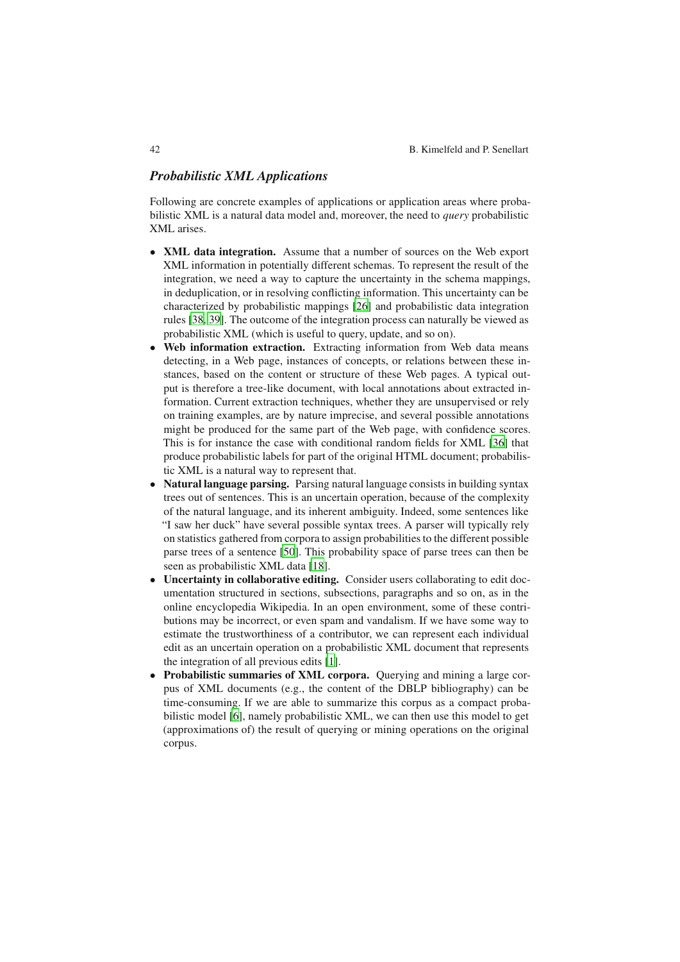#### *Probabilistic XML Applications*

Following are concrete examples of applications or application areas where probabilistic XML is a natural data model and, moreover, the need to *query* probabilistic XML arises.

- **XML data integration.** Assume that a number of sources on the Web export XML information in potentially different schemas. To represent the result of the integration, we need a way to capture the uncertainty in the schema mappings, in deduplication, or in resolving conflicting information. This uncertainty can be characterized by probabilistic mappings [\[26\]](#page-25-4) and probabilistic data integration rules [\[38](#page-25-8), [39\]](#page-25-9). The outcome of the integration process can naturally be viewed as probabilistic XML (which is useful to query, update, and so on).
- **Web information extraction.** Extracting information from Web data means detecting, in a Web page, instances of concepts, or relations between these instances, based on the content or structure of these Web pages. A typical output is therefore a tree-like document, with local annotations about extracted information. Current extraction techniques, whether they are unsupervised or rely on training examples, are by nature imprecise, and several possible annotations might be produced for the same part of the Web page, with confidence scores. This is for instance the case with conditional random fields for XML [\[36\]](#page-25-10) that produce probabilistic labels for part of the original HTML document; probabilistic XML is a natural way to represent that.
- **Natural language parsing.** Parsing natural language consists in building syntax trees out of sentences. This is an uncertain operation, because of the complexity of the natural language, and its inherent ambiguity. Indeed, some sentences like "I saw her duck" have several possible syntax trees. A parser will typically rely on statistics gathered from corpora to assign probabilities to the different possible parse trees of a sentence [\[50](#page-26-1)]. This probability space of parse trees can then be seen as probabilistic XML data [\[18\]](#page-25-11).
- **Uncertainty in collaborative editing.** Consider users collaborating to edit documentation structured in sections, subsections, paragraphs and so on, as in the online encyclopedia Wikipedia. In an open environment, some of these contributions may be incorrect, or even spam and vandalism. If we have some way to estimate the trustworthiness of a contributor, we can represent each individual edit as an uncertain operation on a probabilistic XML document that represents the integration of all previous edits [\[1\]](#page-24-2).
- **Probabilistic summaries of XML corpora.** Querying and mining a large corpus of XML documents (e.g., the content of the DBLP bibliography) can be time-consuming. If we are able to summarize this corpus as a compact probabilistic model [\[6](#page-24-3)], namely probabilistic XML, we can then use this model to get (approximations of) the result of querying or mining operations on the original corpus.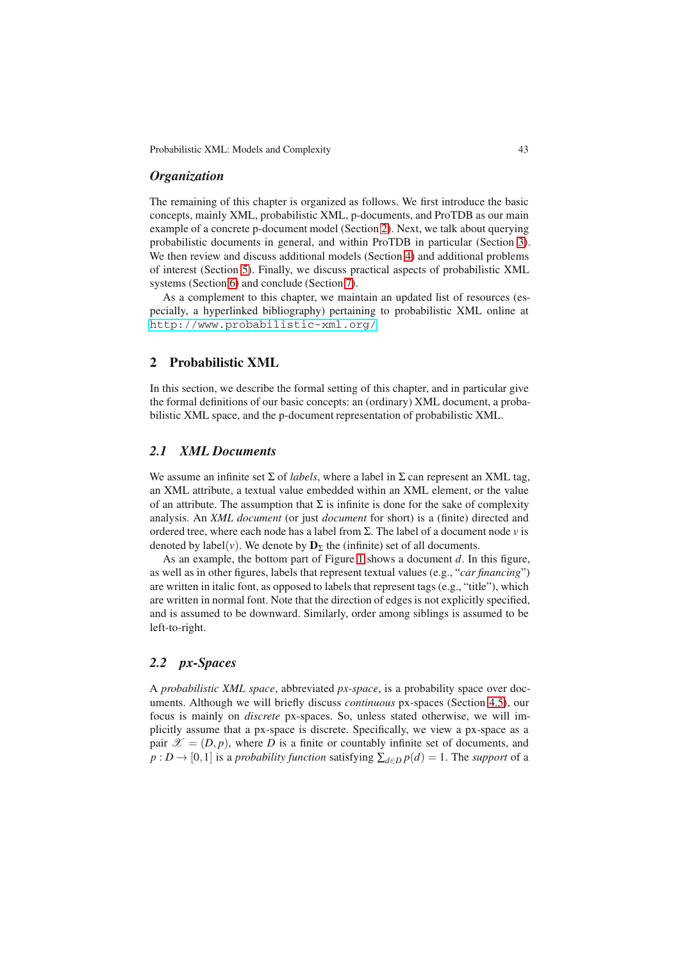#### *Organization*

The remaining of this chapter is organized as follows. We first introduce the basic concepts, mainly XML, probabilistic XML, p-documents, and ProTDB as our main example of a concrete p-document model (Section [2\)](#page-4-0). Next, we talk about querying probabilistic documents in general, and within ProTDB in particular (Section [3\)](#page-7-0). We then review and discuss additional models (Section [4\)](#page-12-0) and additional problems of interest (Section [5\)](#page-17-0). Finally, we discuss practical aspects of probabilistic XML systems (Section [6\)](#page-20-0) and conclude (Section [7\)](#page-23-0).

As a complement to this chapter, we maintain an updated list of resources (especially, a hyperlinked bibliography) pertaining to probabilistic XML online at <http://www.probabilistic-xml.org/>.

#### <span id="page-4-0"></span>**2 Probabilistic XML**

In this section, we describe the formal setting of this chapter, and in particular give the formal definitions of our basic concepts: an (ordinary) XML document, a probabilistic XML space, and the p-document representation of probabilistic XML.

#### *2.1 XML Documents*

We assume an infinite set  $\Sigma$  of *labels*, where a label in  $\Sigma$  can represent an XML tag, an XML attribute, a textual value embedded within an XML element, or the value of an attribute. The assumption that  $\Sigma$  is infinite is done for the sake of complexity analysis. An *XML document* (or just *document* for short) is a (finite) directed and ordered tree, where each node has a label from Σ. The label of a document node *v* is denoted by label(*v*). We denote by  $\mathbf{D}_{\Sigma}$  the (infinite) set of all documents.

As an example, the bottom part of Figure [1](#page-6-0) shows a document *d*. In this figure, as well as in other figures, labels that represent textual values (e.g., "*car financing*") are written in italic font, as opposed to labels that represent tags (e.g., "title"), which are written in normal font. Note that the direction of edges is not explicitly specified, and is assumed to be downward. Similarly, order among siblings is assumed to be left-to-right.

## *2.2 px-Spaces*

A *probabilistic XML space*, abbreviated *px-space*, is a probability space over documents. Although we will briefly discuss *continuous* px-spaces (Section [4.5\)](#page-16-0), our focus is mainly on *discrete* px-spaces. So, unless stated otherwise, we will implicitly assume that a px-space is discrete. Specifically, we view a px-space as a pair  $\mathscr{X} = (D, p)$ , where *D* is a finite or countably infinite set of documents, and  $p : D \to [0,1]$  is a *probability function* satisfying  $\sum_{d \in D} p(d) = 1$ . The *support* of a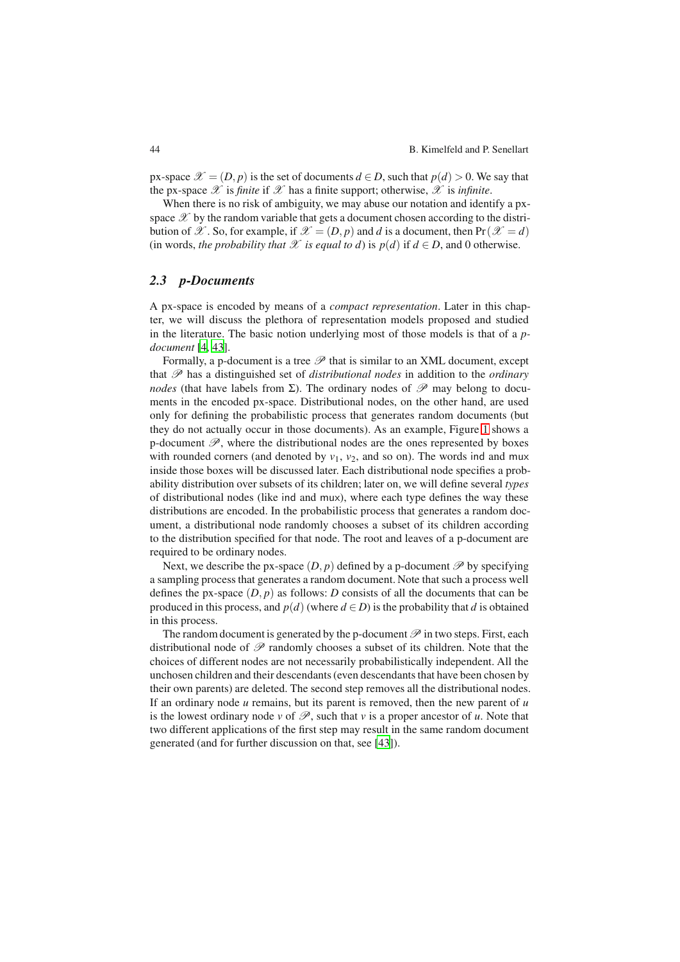px-space  $\mathcal{X} = (D, p)$  is the set of documents  $d \in D$ , such that  $p(d) > 0$ . We say that the px-space  $\mathscr X$  is *finite* if  $\mathscr X$  has a finite support; otherwise,  $\mathscr X$  is *infinite*.

When there is no risk of ambiguity, we may abuse our notation and identify a pxspace  $\mathscr X$  by the random variable that gets a document chosen according to the distribution of *X*. So, for example, if  $\mathcal{X} = (D, p)$  and *d* is a document, then Pr( $\mathcal{X} = d$ ) (in words, *the probability that*  $\mathcal X$  *is equal to d*) is  $p(d)$  if  $d \in D$ , and 0 otherwise.

#### *2.3 p-Documents*

A px-space is encoded by means of a *compact representation*. Later in this chapter, we will discuss the plethora of representation models proposed and studied in the literature. The basic notion underlying most of those models is that of a *pdocument* [\[4,](#page-24-4) [43\]](#page-26-6).

Formally, a p-document is a tree  $P$  that is similar to an XML document, except that *P* has a distinguished set of *distributional nodes* in addition to the *ordinary nodes* (that have labels from  $\Sigma$ ). The ordinary nodes of  $\mathscr P$  may belong to documents in the encoded px-space. Distributional nodes, on the other hand, are used only for defining the probabilistic process that generates random documents (but they do not actually occur in those documents). As an example, Figure [1](#page-6-0) shows a p-document  $\mathscr{P}$ , where the distributional nodes are the ones represented by boxes with rounded corners (and denoted by  $v_1$ ,  $v_2$ , and so on). The words ind and mux inside those boxes will be discussed later. Each distributional node specifies a probability distribution over subsets of its children; later on, we will define several *types* of distributional nodes (like ind and mux), where each type defines the way these distributions are encoded. In the probabilistic process that generates a random document, a distributional node randomly chooses a subset of its children according to the distribution specified for that node. The root and leaves of a p-document are required to be ordinary nodes.

Next, we describe the px-space  $(D, p)$  defined by a p-document  $\mathscr P$  by specifying a sampling process that generates a random document. Note that such a process well defines the px-space  $(D, p)$  as follows: *D* consists of all the documents that can be produced in this process, and  $p(d)$  (where  $d \in D$ ) is the probability that *d* is obtained in this process.

The random document is generated by the p-document  $\mathscr P$  in two steps. First, each distributional node of *P* randomly chooses a subset of its children. Note that the choices of different nodes are not necessarily probabilistically independent. All the unchosen children and their descendants (even descendants that have been chosen by their own parents) are deleted. The second step removes all the distributional nodes. If an ordinary node *u* remains, but its parent is removed, then the new parent of *u* is the lowest ordinary node  $\nu$  of  $\mathscr{P}$ , such that  $\nu$  is a proper ancestor of  $u$ . Note that two different applications of the first step may result in the same random document generated (and for further discussion on that, see [\[43](#page-26-6)]).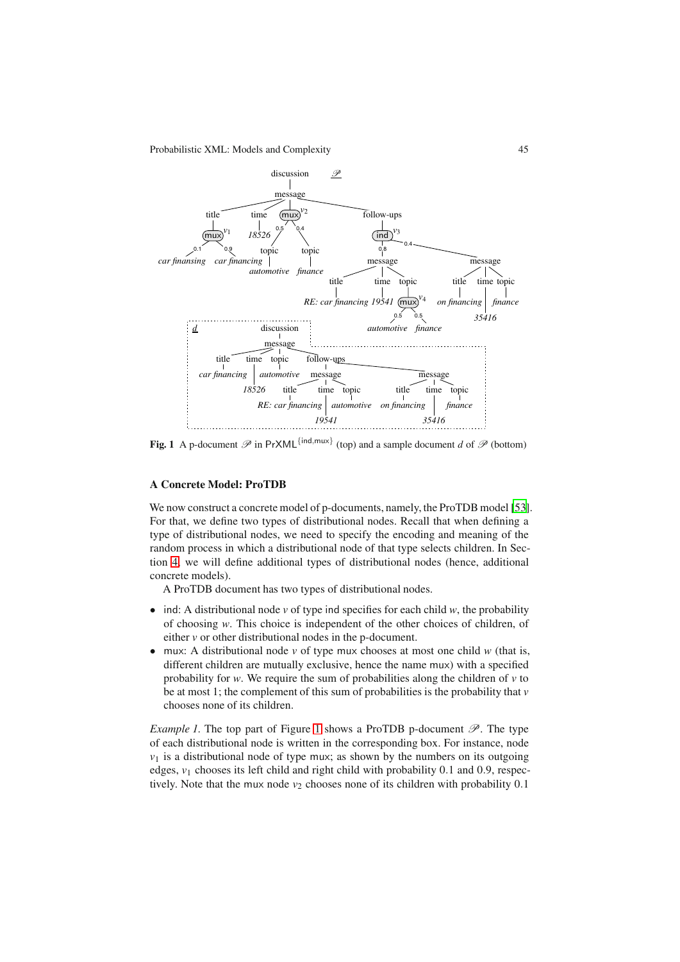

<span id="page-6-0"></span>**Fig. 1** A p-document  $\mathcal{P}$  in PrXML<sup>{ind,mux}</sup> (top) and a sample document *d* of  $\mathcal{P}$  (bottom)

## **A Concrete Model: ProTDB**

We now construct a concrete model of p-documents, namely, the ProTDB model [\[53\]](#page-26-3). For that, we define two types of distributional nodes. Recall that when defining a type of distributional nodes, we need to specify the encoding and meaning of the random process in which a distributional node of that type selects children. In Section [4,](#page-12-0) we will define additional types of distributional nodes (hence, additional concrete models).

A ProTDB document has two types of distributional nodes.

- ind: A distributional node  $\nu$  of type ind specifies for each child  $w$ , the probability of choosing *w*. This choice is independent of the other choices of children, of either *v* or other distributional nodes in the p-document.
- mux: A distributional node *v* of type mux chooses at most one child *w* (that is, different children are mutually exclusive, hence the name mux) with a specified probability for  $w$ . We require the sum of probabilities along the children of  $v$  to be at most 1; the complement of this sum of probabilities is the probability that *v* chooses none of its children.

<span id="page-6-1"></span>*Example 1.* The top part of Figure [1](#page-6-0) shows a ProTDB p-document *P*. The type of each distributional node is written in the corresponding box. For instance, node  $v_1$  is a distributional node of type mux; as shown by the numbers on its outgoing edges,  $v_1$  chooses its left child and right child with probability 0.1 and 0.9, respectively. Note that the mux node  $v_2$  chooses none of its children with probability 0.1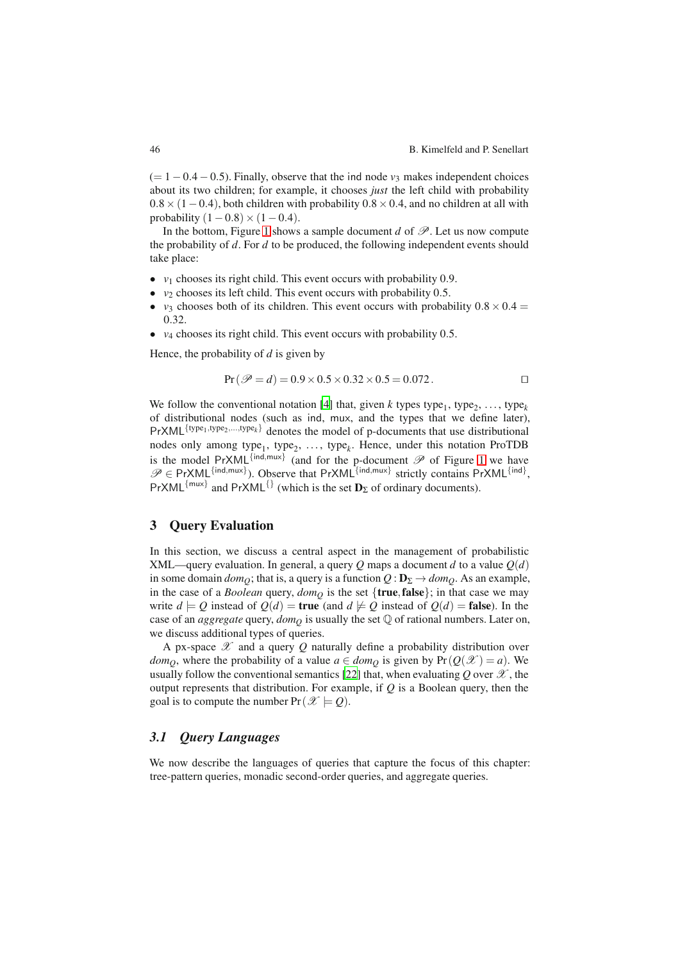$(= 1 - 0.4 - 0.5)$ . Finally, observe that the ind node  $v_3$  makes independent choices about its two children; for example, it chooses *just* the left child with probability  $0.8 \times (1-0.4)$ , both children with probability  $0.8 \times 0.4$ , and no children at all with probability  $(1-0.8) \times (1-0.4)$ .

In the bottom, Figure [1](#page-6-0) shows a sample document *d* of *P*. Let us now compute the probability of *d*. For *d* to be produced, the following independent events should take place:

- $v_1$  chooses its right child. This event occurs with probability 0.9.
- *v*<sup>2</sup> chooses its left child. This event occurs with probability 0.5.
- $v_3$  chooses both of its children. This event occurs with probability  $0.8 \times 0.4 =$ 0.32.
- *v<sub>4</sub>* chooses its right child. This event occurs with probability 0.5.

Hence, the probability of *d* is given by

$$
Pr(\mathscr{P} = d) = 0.9 \times 0.5 \times 0.32 \times 0.5 = 0.072.
$$

We follow the conventional notation [\[4](#page-24-4)] that, given *k* types type<sub>1</sub>, type<sub>2</sub>, ..., type<sub>*k*</sub> of distributional nodes (such as ind, mux, and the types that we define later),  $PrXML^{\{type_1, type_2, ..., type_k\}}$  denotes the model of p-documents that use distributional nodes only among type<sub>1</sub>, type<sub>2</sub>, ..., type<sub>k</sub>. Hence, under this notation ProTDB is the model PrXML<sup>{ind,mux}</sup> (and for the p-document  $\mathscr P$  of Figure [1](#page-6-0) we have  $\mathscr{P} \in \text{PrXML}^{\{\text{ind}, \text{mux}\}}$ ). Observe that  $\text{PrXML}^{\{\text{ind}, \text{mux}\}}$  strictly contains  $\text{PrXML}^{\{\text{ind}\}}$ , PrXML<sup>{mux}</sup> and PrXML<sup>{}</sup> (which is the set  $\mathbf{D}_{\Sigma}$  of ordinary documents).

#### <span id="page-7-0"></span>**3 Query Evaluation**

In this section, we discuss a central aspect in the management of probabilistic XML—query evaluation. In general, a query Q maps a document d to a value  $Q(d)$ in some domain  $dom_Q$ ; that is, a query is a function  $Q : \mathbf{D}_\Sigma \to dom_Q$ . As an example, in the case of a *Boolean* query,  $dom<sub>O</sub>$  is the set {**true**, **false**}; in that case we may write  $d \models Q$  instead of  $Q(d) =$  **true** (and  $d \not\models Q$  instead of  $Q(d) =$  **false**). In the case of an *aggregate* query,  $dom<sub>O</sub>$  is usually the set  $\mathbb Q$  of rational numbers. Later on, we discuss additional types of queries.

A px-space *X* and a query *Q* naturally define a probability distribution over *dom<sub>0</sub>*, where the probability of a value  $a \in dom_0$  is given by  $Pr(Q(\mathcal{X}) = a)$ . We usually follow the conventional semantics [\[22\]](#page-25-2) that, when evaluating  $Q$  over  $\mathscr X$ , the output represents that distribution. For example, if *Q* is a Boolean query, then the goal is to compute the number  $Pr(\mathcal{X} \models Q)$ .

## *3.1 Query Languages*

We now describe the languages of queries that capture the focus of this chapter: tree-pattern queries, monadic second-order queries, and aggregate queries.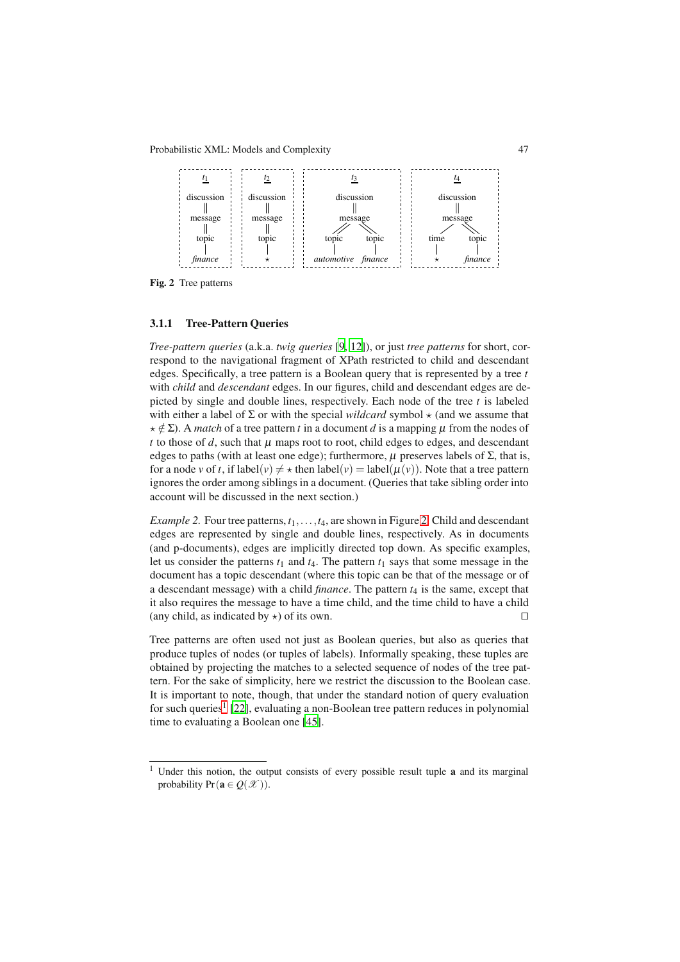Probabilistic XML: Models and Complexity 47



<span id="page-8-0"></span>**Fig. 2** Tree patterns

#### **3.1.1 Tree-Pattern Queries**

*Tree-pattern queries* (a.k.a. *twig queries* [\[9,](#page-24-5) [12\]](#page-24-6)), or just *tree patterns* for short, correspond to the navigational fragment of XPath restricted to child and descendant edges. Specifically, a tree pattern is a Boolean query that is represented by a tree *t* with *child* and *descendant* edges. In our figures, child and descendant edges are depicted by single and double lines, respectively. Each node of the tree *t* is labeled with either a label of  $\Sigma$  or with the special *wildcard* symbol  $\star$  (and we assume that  $\star \notin \Sigma$ ). A *match* of a tree pattern *t* in a document *d* is a mapping  $\mu$  from the nodes of *t* to those of *d*, such that  $\mu$  maps root to root, child edges to edges, and descendant edges to paths (with at least one edge); furthermore,  $\mu$  preserves labels of  $\Sigma$ , that is, for a node *v* of *t*, if label(*v*)  $\neq$   $\star$  then label(*v*) = label( $\mu$ (*v*)). Note that a tree pattern ignores the order among siblings in a document. (Queries that take sibling order into account will be discussed in the next section.)

*Example [2.](#page-8-0)* Four tree patterns,  $t_1, \ldots, t_4$ , are shown in Figure 2. Child and descendant edges are represented by single and double lines, respectively. As in documents (and p-documents), edges are implicitly directed top down. As specific examples, let us consider the patterns  $t_1$  and  $t_4$ . The pattern  $t_1$  says that some message in the document has a topic descendant (where this topic can be that of the message or of a descendant message) with a child *finance*. The pattern *t*<sup>4</sup> is the same, except that it also requires the message to have a time child, and the time child to have a child (any child, as indicated by  $\star$ ) of its own.

Tree patterns are often used not just as Boolean queries, but also as queries that produce tuples of nodes (or tuples of labels). Informally speaking, these tuples are obtained by projecting the matches to a selected sequence of nodes of the tree pattern. For the sake of simplicity, here we restrict the discussion to the Boolean case. It is important to note, though, that under the standard notion of query evaluation for such queries<sup>1</sup> [\[22\]](#page-25-2), evaluating a non-Boolean tree pattern reduces in polynomial time to evaluating a Boolean one [\[45](#page-26-2)].

<sup>1</sup> Under this notion, the output consists of every possible result tuple **a** and its marginal probability  $Pr(a \in Q(\mathcal{X}))$ .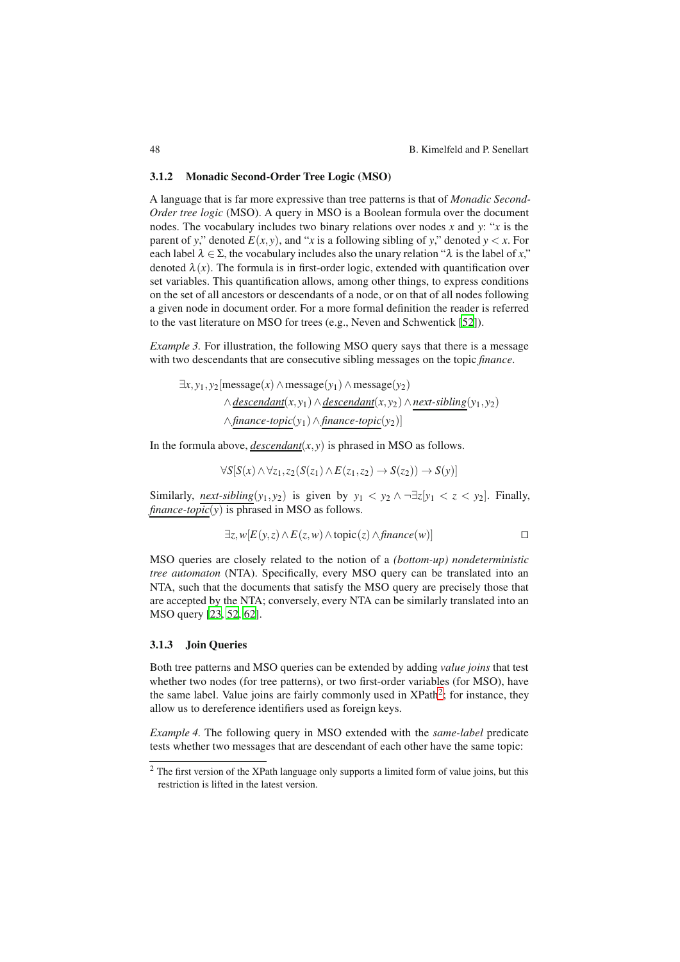#### **3.1.2 Monadic Second-Order Tree Logic (MSO)**

A language that is far more expressive than tree patterns is that of *Monadic Second-Order tree logic* (MSO). A query in MSO is a Boolean formula over the document nodes. The vocabulary includes two binary relations over nodes *x* and *y*: "*x* is the parent of *y*," denoted  $E(x, y)$ , and "*x* is a following sibling of *y*," denoted  $y < x$ . For each label  $\lambda \in \Sigma$ , the vocabulary includes also the unary relation " $\lambda$  is the label of *x*," denoted  $\lambda(x)$ . The formula is in first-order logic, extended with quantification over set variables. This quantification allows, among other things, to express conditions on the set of all ancestors or descendants of a node, or on that of all nodes following a given node in document order. For a more formal definition the reader is referred to the vast literature on MSO for trees (e.g., Neven and Schwentick [\[52\]](#page-26-7)).

*Example 3.* For illustration, the following MSO query says that there is a message with two descendants that are consecutive sibling messages on the topic *finance*.

$$
\exists x, y_1, y_2 [message(x) \land message(y_1) \land message(y_2)
$$
  
 
$$
\land \underline{descendant(x, y_1)} \land \underline{descendant(x, y_2)} \land \underline{next \text{-}sibling(y_1, y_2)}
$$
  
 
$$
\land \underline{fmance \text{-}topic(y_1)} \land \underline{fmance \text{-}topic(y_2)}]
$$

In the formula above, *descendant* $(x, y)$  is phrased in MSO as follows.

 $\forall S[S(x) \land \forall z_1, z_2(S(z_1) \land E(z_1, z_2) \rightarrow S(z_2)) \rightarrow S(y)]$ 

Similarly, *next-sibling*( $y_1, y_2$ ) is given by  $y_1 < y_2 \land \neg \exists z[y_1 < z < y_2]$ . Finally, *finance-topic* $(y)$  is phrased in MSO as follows.

$$
\exists z, w[E(y, z) \land E(z, w) \land \text{topic}(z) \land \text{fmance}(w)] \qquad \Box
$$

MSO queries are closely related to the notion of a *(bottom-up) nondeterministic tree automaton* (NTA). Specifically, every MSO query can be translated into an NTA, such that the documents that satisfy the MSO query are precisely those that are accepted by the NTA; conversely, every NTA can be similarly translated into an MSO query [\[23,](#page-25-12) [52,](#page-26-7) [62\]](#page-26-8).

#### **3.1.3 Join Queries**

Both tree patterns and MSO queries can be extended by adding *value joins* that test whether two nodes (for tree patterns), or two first-order variables (for MSO), have the same label. Value joins are fairly commonly used in XPath2; for instance, they allow us to dereference identifiers used as foreign keys.

*Example 4.* The following query in MSO extended with the *same-label* predicate tests whether two messages that are descendant of each other have the same topic:

<sup>&</sup>lt;sup>2</sup> The first version of the XPath language only supports a limited form of value joins, but this restriction is lifted in the latest version.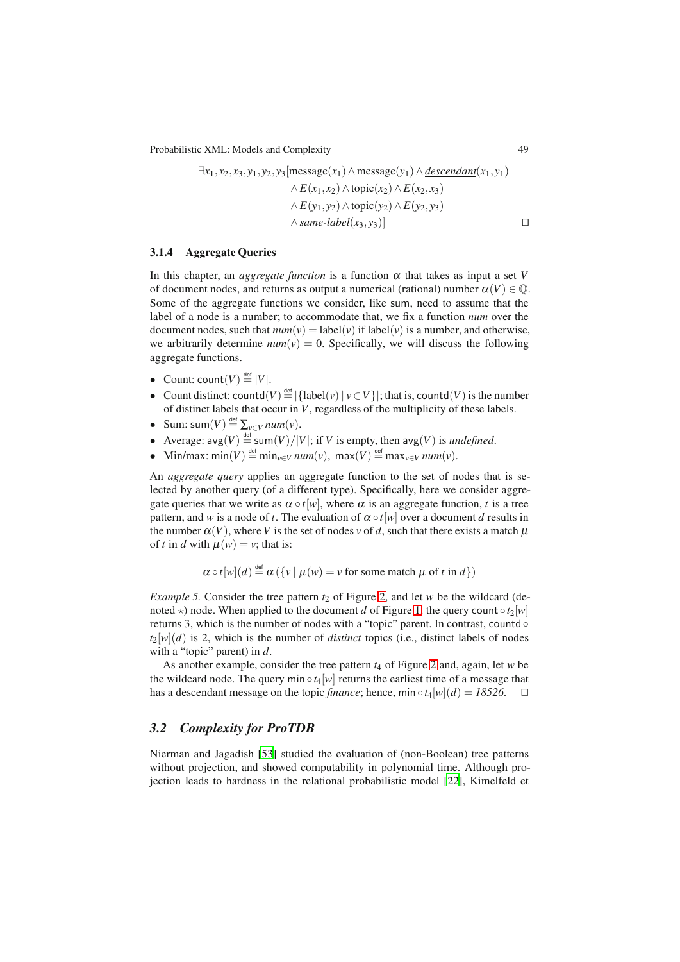$$
\exists x_1, x_2, x_3, y_1, y_2, y_3 \left[ \text{message}(x_1) \land \text{message}(y_1) \land \text{descendant}(x_1, y_1) \right] \land E(x_1, x_2) \land \text{topic}(x_2) \land E(x_2, x_3) \land E(y_1, y_2) \land \text{topic}(y_2) \land E(y_2, y_3) \land \text{same-label}(x_3, y_3) \right]
$$

#### **3.1.4 Aggregate Queries**

In this chapter, an *aggregate function* is a function  $\alpha$  that takes as input a set V of document nodes, and returns as output a numerical (rational) number  $\alpha(V) \in \mathbb{Q}$ . Some of the aggregate functions we consider, like sum, need to assume that the label of a node is a number; to accommodate that, we fix a function *num* over the document nodes, such that  $num(v) = label(v)$  if  $label(v)$  is a number, and otherwise, we arbitrarily determine  $num(v) = 0$ . Specifically, we will discuss the following aggregate functions.

- Count: count $(V) \stackrel{\text{def}}{=} |V|$ .
- Count distinct: countd(*V*)  $\stackrel{\text{def}}{=} |\{\text{label}(v) \mid v \in V\}|$ ; that is, countd(*V*) is the number of distinct labels that occur in *V*, regardless of the multiplicity of these labels.
- Sum:  $\mathsf{sum}(V) \stackrel{\text{def}}{=} \sum_{v \in V} \textit{num}(v)$ .
- Average:  $avg(V) \stackrel{\text{def}}{=} sum(V)/|V|$ ; if *V* is empty, then  $avg(V)$  is *undefined*.
- Min/max:  $\text{min}(V) \stackrel{\text{def}}{=} \text{min}_{v \in V} \text{num}(v)$ ,  $\text{max}(V) \stackrel{\text{def}}{=} \text{max}_{v \in V} \text{num}(v)$ .

An *aggregate query* applies an aggregate function to the set of nodes that is selected by another query (of a different type). Specifically, here we consider aggregate queries that we write as  $\alpha \circ t[w]$ , where  $\alpha$  is an aggregate function, *t* is a tree pattern, and *w* is a node of *t*. The evaluation of  $\alpha \circ t[w]$  over a document *d* results in the number  $\alpha(V)$ , where *V* is the set of nodes *v* of *d*, such that there exists a match  $\mu$ of *t* in *d* with  $\mu(w) = v$ ; that is:

$$
\alpha \circ t[w](d) \stackrel{\text{def}}{=} \alpha (\{v \mid \mu(w) = v \text{ for some match } \mu \text{ of } t \text{ in } d\})
$$

*Example 5.* Consider the tree pattern  $t_2$  of Figure [2,](#page-8-0) and let  $w$  be the wildcard (denoted  $\star$ ) node. When applied to the document *d* of Figure [1,](#page-6-0) the query count  $\circ t_2[w]$ returns 3, which is the number of nodes with a "topic" parent. In contrast, countd  $\circ$  $t_2[w](d)$  is 2, which is the number of *distinct* topics (i.e., distinct labels of nodes with a "topic" parent) in *d*.

As another example, consider the tree pattern *t*<sup>4</sup> of Figure [2](#page-8-0) and, again, let *w* be the wildcard node. The query min  $\circ t_4[w]$  returns the earliest time of a message that has a descendant message on the topic *finance*; hence, min  $\circ t_4[w](d) = 18526$ .  $\Box$ 

## *3.2 Complexity for ProTDB*

Nierman and Jagadish [\[53](#page-26-3)] studied the evaluation of (non-Boolean) tree patterns without projection, and showed computability in polynomial time. Although projection leads to hardness in the relational probabilistic model [\[22\]](#page-25-2), Kimelfeld et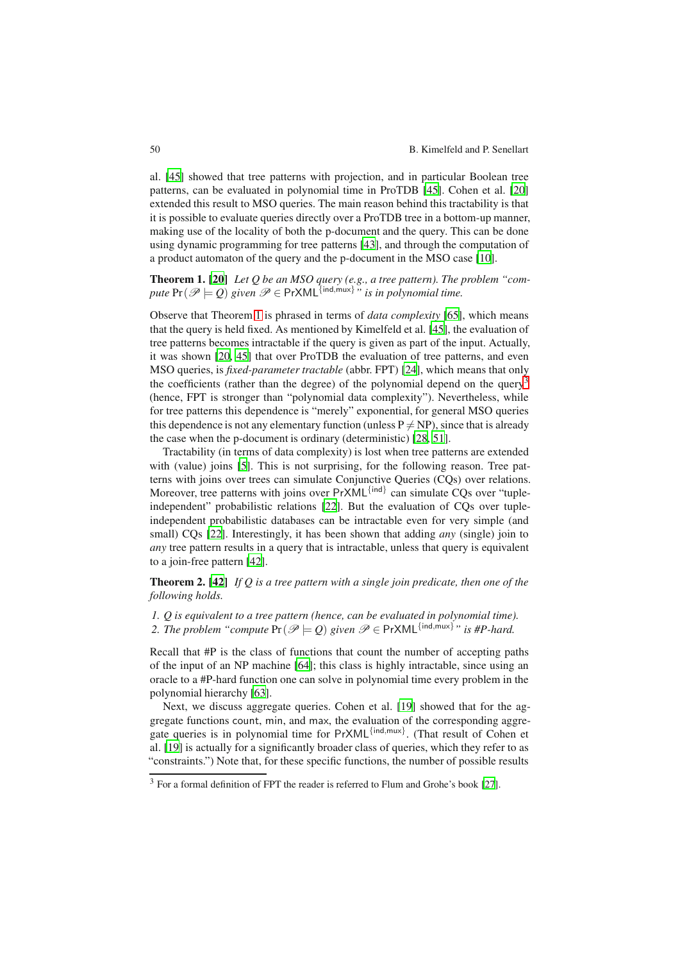al. [\[45\]](#page-26-2) showed that tree patterns with projection, and in particular Boolean tree patterns, can be evaluated in polynomial time in ProTDB [\[45\]](#page-26-2). Cohen et al. [\[20\]](#page-25-13) extended this result to MSO queries. The main reason behind this tractability is that it is possible to evaluate queries directly over a ProTDB tree in a bottom-up manner, making use of the locality of both the p-document and the query. This can be done using dynamic programming for tree patterns [\[43\]](#page-26-6), and through the computation of a product automaton of the query and the p-document in the MSO case [\[10\]](#page-24-7).

<span id="page-11-0"></span>**Theorem 1. [\[20](#page-25-13)]** *Let Q be an MSO query (e.g., a tree pattern). The problem "compute*  $Pr(\mathscr{P} \models Q)$  *given*  $\mathscr{P} \in PrXML^{\{ind, \text{mux}\}}$  *" is in polynomial time.* 

Observe that Theorem [1](#page-11-0) is phrased in terms of *data complexity* [\[65\]](#page-26-9), which means that the query is held fixed. As mentioned by Kimelfeld et al. [\[45\]](#page-26-2), the evaluation of tree patterns becomes intractable if the query is given as part of the input. Actually, it was shown [\[20](#page-25-13), [45\]](#page-26-2) that over ProTDB the evaluation of tree patterns, and even MSO queries, is *fixed-parameter tractable* (abbr. FPT) [\[24\]](#page-25-14), which means that only the coefficients (rather than the degree) of the polynomial depend on the query<sup>3</sup> (hence, FPT is stronger than "polynomial data complexity"). Nevertheless, while for tree patterns this dependence is "merely" exponential, for general MSO queries this dependence is not any elementary function (unless  $P \neq NP$ ), since that is already the case when the p-document is ordinary (deterministic) [\[28](#page-25-15), [51](#page-26-10)].

Tractability (in terms of data complexity) is lost when tree patterns are extended with (value) joins [\[5](#page-24-8)]. This is not surprising, for the following reason. Tree patterns with joins over trees can simulate Conjunctive Queries (CQs) over relations. Moreover, tree patterns with joins over PrXML<sup>{ind}</sup> can simulate CQs over "tupleindependent" probabilistic relations [\[22\]](#page-25-2). But the evaluation of CQs over tupleindependent probabilistic databases can be intractable even for very simple (and small) CQs [\[22\]](#page-25-2). Interestingly, it has been shown that adding *any* (single) join to *any* tree pattern results in a query that is intractable, unless that query is equivalent to a join-free pattern [\[42\]](#page-26-11).

**Theorem 2. [\[42](#page-26-11)]** *If Q is a tree pattern with a single join predicate, then one of the following holds.*

*1. Q is equivalent to a tree pattern (hence, can be evaluated in polynomial time).* 2. The problem "compute  $Pr(\mathcal{P} \models Q)$  given  $\mathcal{P} \in PrXML^{\{\text{ind}, \text{mix}\}}$ " is #P-hard.

Recall that #P is the class of functions that count the number of accepting paths of the input of an NP machine [\[64\]](#page-26-12); this class is highly intractable, since using an oracle to a #P-hard function one can solve in polynomial time every problem in the polynomial hierarchy [\[63\]](#page-26-13).

Next, we discuss aggregate queries. Cohen et al. [\[19\]](#page-25-16) showed that for the aggregate functions count, min, and max, the evaluation of the corresponding aggregate queries is in polynomial time for  $PrXML^{[ind,mux]}$ . (That result of Cohen et al. [\[19\]](#page-25-16) is actually for a significantly broader class of queries, which they refer to as "constraints.") Note that, for these specific functions, the number of possible results

 $3$  For a formal definition of FPT the reader is referred to Flum and Grohe's book [\[27](#page-25-17)].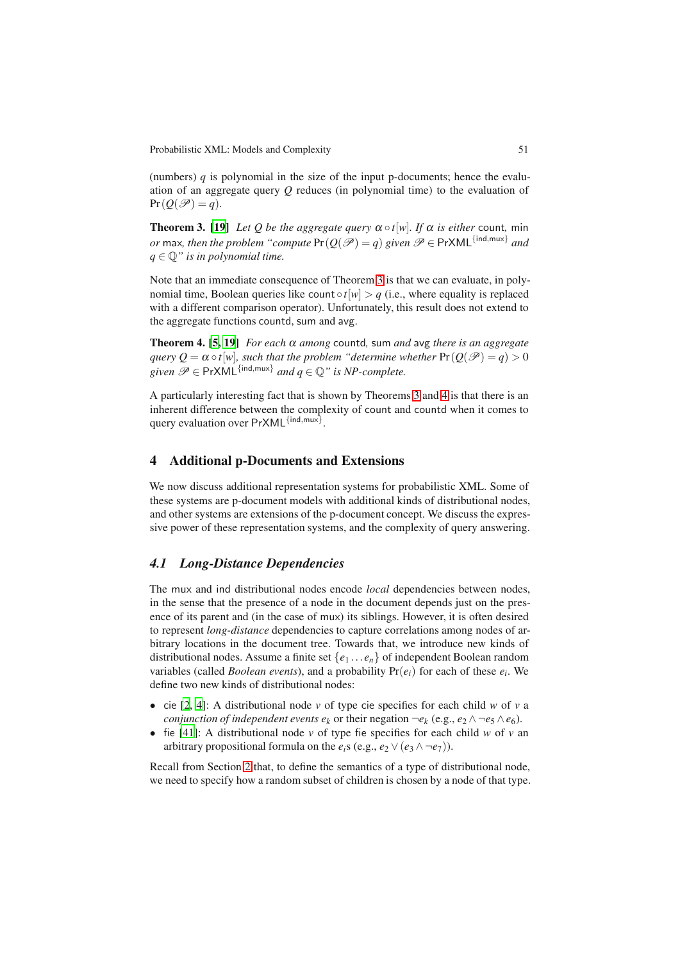(numbers)  $q$  is polynomial in the size of the input p-documents; hence the evaluation of an aggregate query *Q* reduces (in polynomial time) to the evaluation of  $Pr(Q(\mathscr{P})=q).$ 

<span id="page-12-1"></span>**Theorem 3. [\[19\]](#page-25-16)** *Let Q be the aggregate query*  $\alpha \circ t[w]$ *. If*  $\alpha$  *is either* count, min *or* max, then the problem "compute  $Pr(Q(\mathcal{P}) = q)$  given  $\mathcal{P} \in PrXML^{\{ind, \{ d, \} }$  and *q* ∈ Q*" is in polynomial time.*

Note that an immediate consequence of Theorem [3](#page-12-1) is that we can evaluate, in polynomial time, Boolean queries like count  $\circ$  *t*[*w*] > *q* (i.e., where equality is replaced with a different comparison operator). Unfortunately, this result does not extend to the aggregate functions countd, sum and avg.

<span id="page-12-2"></span>**Theorem 4. [\[5](#page-24-8), [19](#page-25-16)]** *For each* <sup>α</sup> *among* countd*,* sum *and* avg *there is an aggregate query*  $Q = \alpha \circ t[w]$ *, such that the problem "determine whether*  $Pr(Q(\mathcal{P}) = q) > 0$ *given*  $\mathscr{P} \in \text{PrXML}^{\{\text{ind}, \text{mux}\}}$  *and*  $q \in \mathbb{Q}$ " *is NP-complete.* 

A particularly interesting fact that is shown by Theorems [3](#page-12-1) and [4](#page-12-2) is that there is an inherent difference between the complexity of count and countd when it comes to query evaluation over PrXML<sup>{ind,mux}</sup>.

#### <span id="page-12-0"></span>**4 Additional p-Documents and Extensions**

We now discuss additional representation systems for probabilistic XML. Some of these systems are p-document models with additional kinds of distributional nodes, and other systems are extensions of the p-document concept. We discuss the expressive power of these representation systems, and the complexity of query answering.

#### *4.1 Long-Distance Dependencies*

The mux and ind distributional nodes encode *local* dependencies between nodes, in the sense that the presence of a node in the document depends just on the presence of its parent and (in the case of mux) its siblings. However, it is often desired to represent *long-distance* dependencies to capture correlations among nodes of arbitrary locations in the document tree. Towards that, we introduce new kinds of distributional nodes. Assume a finite set {*e*<sup>1</sup> ... *en*} of independent Boolean random variables (called *Boolean events*), and a probability  $Pr(e_i)$  for each of these  $e_i$ . We define two new kinds of distributional nodes:

- cie [\[2](#page-24-9), [4](#page-24-4)]: A distributional node *v* of type cie specifies for each child *w* of *v* a *conjunction of independent events*  $e_k$  or their negation  $\neg e_k$  (e.g.,  $e_2 \land \neg e_5 \land e_6$ ).
- fie [\[41\]](#page-26-14): A distributional node *v* of type fie specifies for each child *w* of *v* an arbitrary propositional formula on the  $e_i$ s (e.g.,  $e_2 \vee (e_3 \wedge \neg e_7)$ ).

Recall from Section [2](#page-4-0) that, to define the semantics of a type of distributional node, we need to specify how a random subset of children is chosen by a node of that type.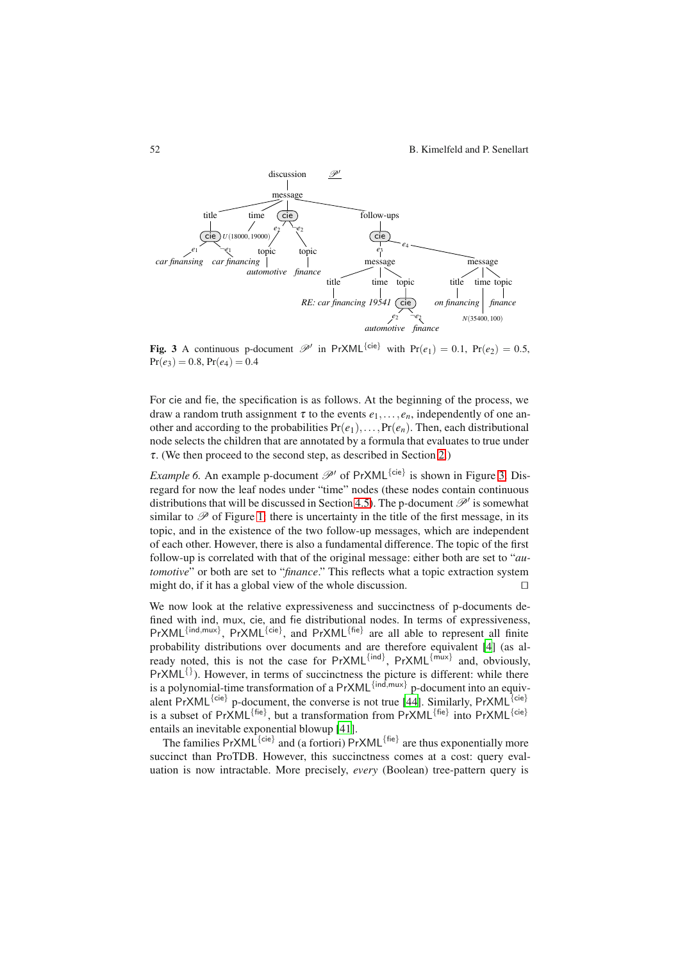

<span id="page-13-0"></span>**Fig. 3** A continuous p-document  $\mathcal{P}'$  in PrXML<sup>{cie}</sup> with Pr(*e*<sub>1</sub>) = 0.1, Pr(*e*<sub>2</sub>) = 0.5,  $Pr(e_3) = 0.8, Pr(e_4) = 0.4$ 

For cie and fie, the specification is as follows. At the beginning of the process, we draw a random truth assignment  $\tau$  to the events  $e_1, \ldots, e_n$ , independently of one another and according to the probabilities  $Pr(e_1), \ldots, Pr(e_n)$ . Then, each distributional node selects the children that are annotated by a formula that evaluates to true under <sup>τ</sup>. (We then proceed to the second step, as described in Section [2.](#page-4-0))

*Example 6.* An example p-document  $\mathcal{P}'$  of PrXML<sup>{cie}</sup> is shown in Figure [3.](#page-13-0) Disregard for now the leaf nodes under "time" nodes (these nodes contain continuous distributions that will be discussed in Section [4.5\)](#page-16-0). The p-document  $\mathscr{P}'$  is somewhat similar to  $P$  of Figure [1:](#page-6-0) there is uncertainty in the title of the first message, in its topic, and in the existence of the two follow-up messages, which are independent of each other. However, there is also a fundamental difference. The topic of the first follow-up is correlated with that of the original message: either both are set to "*automotive*" or both are set to "*finance*." This reflects what a topic extraction system might do, if it has a global view of the whole discussion.  $\Box$ 

We now look at the relative expressiveness and succinctness of p-documents defined with ind, mux, cie, and fie distributional nodes. In terms of expressiveness,  $PrXML^{[ind,mux]}$ ,  $PrXML^{[cie]}$ , and  $PrXML^{[fie]}$  are all able to represent all finite probability distributions over documents and are therefore equivalent [\[4\]](#page-24-4) (as already noted, this is not the case for  $PrXML^{ind}$ ,  $PrXML^{f_{\text{mid}}}$  and, obviously,  $PrXML$ {}). However, in terms of succinctness the picture is different: while there is a polynomial-time transformation of a  $PrXML^{\{ind,mux\}}$  p-document into an equiv-alent PrXML<sup>{cie}</sup> p-document, the converse is not true [\[44\]](#page-26-15). Similarly, PrXML<sup>{cie}</sup> is a subset of Pr $XML^{\{fie\}}$ , but a transformation from Pr $XML^{\{fie\}}$  into Pr $XML^{\{cie\}}$ entails an inevitable exponential blowup [\[41\]](#page-26-14).

The families  $PrXML^{[cie]}$  and (a fortiori)  $PrXML^{[fie]}$  are thus exponentially more succinct than ProTDB. However, this succinctness comes at a cost: query evaluation is now intractable. More precisely, *every* (Boolean) tree-pattern query is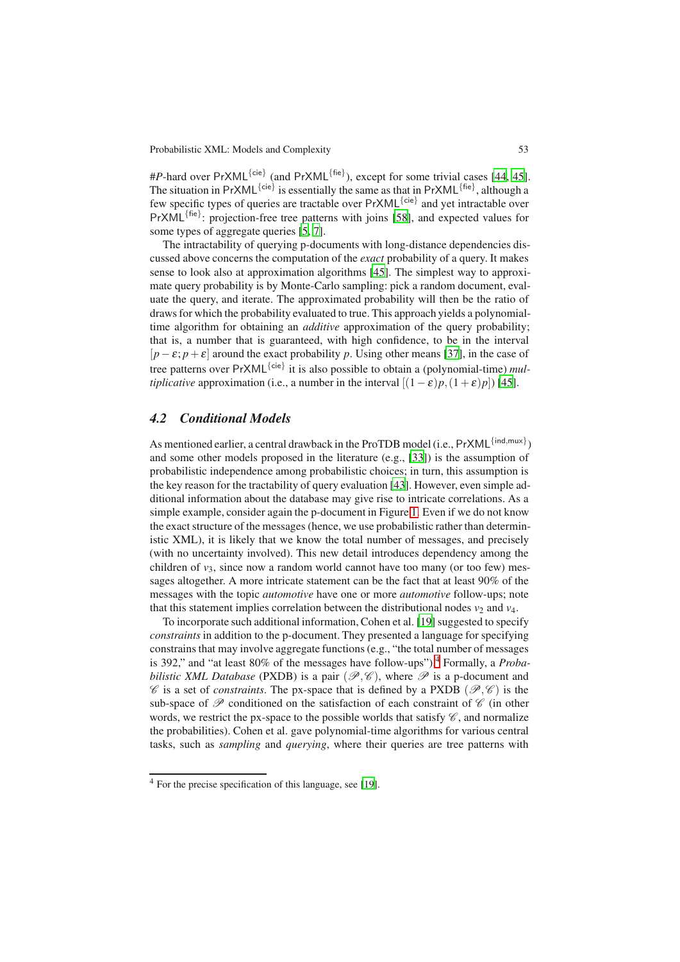#*P*-hard over PrXML{cie} (and PrXML{fie}), except for some trivial cases [\[44,](#page-26-15) [45\]](#page-26-2). The situation in PrXML<sup>{cie}</sup> is essentially the same as that in PrXML<sup>{fie}</sup>, although a few specific types of queries are tractable over PrXML{cie} and yet intractable over PrXML<sup>{fie}</sup>: projection-free tree patterns with joins [\[58\]](#page-26-16), and expected values for some types of aggregate queries [\[5,](#page-24-8) [7\]](#page-24-10).

The intractability of querying p-documents with long-distance dependencies discussed above concerns the computation of the *exact* probability of a query. It makes sense to look also at approximation algorithms [\[45\]](#page-26-2). The simplest way to approximate query probability is by Monte-Carlo sampling: pick a random document, evaluate the query, and iterate. The approximated probability will then be the ratio of draws for which the probability evaluated to true. This approach yields a polynomialtime algorithm for obtaining an *additive* approximation of the query probability; that is, a number that is guaranteed, with high confidence, to be in the interval  $[p - \varepsilon; p + \varepsilon]$  around the exact probability *p*. Using other means [\[37\]](#page-25-18), in the case of tree patterns over PrXML{cie} it is also possible to obtain a (polynomial-time) *multiplicative* approximation (i.e., a number in the interval  $[(1-\varepsilon)p,(1+\varepsilon)p]$ ) [\[45\]](#page-26-2).

## *4.2 Conditional Models*

As mentioned earlier, a central drawback in the ProTDB model (i.e., PrXML<sup>{ind,mux}</sup>) and some other models proposed in the literature (e.g., [\[33\]](#page-25-19)) is the assumption of probabilistic independence among probabilistic choices; in turn, this assumption is the key reason for the tractability of query evaluation [\[43\]](#page-26-6). However, even simple additional information about the database may give rise to intricate correlations. As a simple example, consider again the p-document in Figure [1.](#page-6-1) Even if we do not know the exact structure of the messages (hence, we use probabilistic rather than deterministic XML), it is likely that we know the total number of messages, and precisely (with no uncertainty involved). This new detail introduces dependency among the children of  $v_3$ , since now a random world cannot have too many (or too few) messages altogether. A more intricate statement can be the fact that at least 90% of the messages with the topic *automotive* have one or more *automotive* follow-ups; note that this statement implies correlation between the distributional nodes  $v_2$  and  $v_4$ .

To incorporate such additional information, Cohen et al. [\[19](#page-25-16)] suggested to specify *constraints* in addition to the p-document. They presented a language for specifying constrains that may involve aggregate functions (e.g., "the total number of messages is 392," and "at least 80% of the messages have follow-ups").4 Formally, a *Probabilistic XML Database* (PXDB) is a pair ( $\mathcal{P}, \mathcal{C}$ ), where  $\mathcal{P}$  is a p-document and  $\mathscr C$  is a set of *constraints*. The px-space that is defined by a PXDB ( $\mathscr P, \mathscr C$ ) is the sub-space of *P* conditioned on the satisfaction of each constraint of *C* (in other words, we restrict the px-space to the possible worlds that satisfy  $\mathscr{C}$ , and normalize the probabilities). Cohen et al. gave polynomial-time algorithms for various central tasks, such as *sampling* and *querying*, where their queries are tree patterns with

<sup>4</sup> For the precise specification of this language, see [\[19\]](#page-25-16).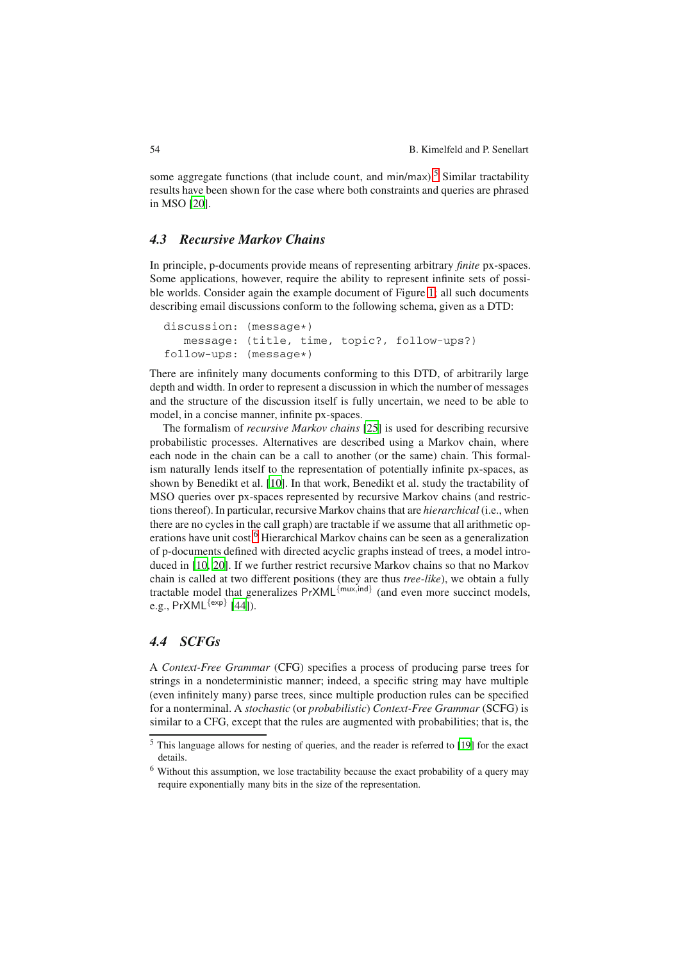some aggregate functions (that include count, and  $min/max)$ .<sup>5</sup> Similar tractability results have been shown for the case where both constraints and queries are phrased in MSO [\[20\]](#page-25-13).

## <span id="page-15-0"></span>*4.3 Recursive Markov Chains*

In principle, p-documents provide means of representing arbitrary *finite* px-spaces. Some applications, however, require the ability to represent infinite sets of possible worlds. Consider again the example document of Figure [1;](#page-6-0) all such documents describing email discussions conform to the following schema, given as a DTD:

```
discussion: (message*)
   message: (title, time, topic?, follow-ups?)
follow-ups: (message*)
```
There are infinitely many documents conforming to this DTD, of arbitrarily large depth and width. In order to represent a discussion in which the number of messages and the structure of the discussion itself is fully uncertain, we need to be able to model, in a concise manner, infinite px-spaces.

The formalism of *recursive Markov chains* [\[25](#page-25-20)] is used for describing recursive probabilistic processes. Alternatives are described using a Markov chain, where each node in the chain can be a call to another (or the same) chain. This formalism naturally lends itself to the representation of potentially infinite px-spaces, as shown by Benedikt et al. [\[10\]](#page-24-7). In that work, Benedikt et al. study the tractability of MSO queries over px-spaces represented by recursive Markov chains (and restrictions thereof). In particular, recursive Markov chains that are *hierarchical* (i.e., when there are no cycles in the call graph) are tractable if we assume that all arithmetic operations have unit cost.<sup>6</sup> Hierarchical Markov chains can be seen as a generalization of p-documents defined with directed acyclic graphs instead of trees, a model introduced in [\[10,](#page-24-7) [20\]](#page-25-13). If we further restrict recursive Markov chains so that no Markov chain is called at two different positions (they are thus *tree-like*), we obtain a fully tractable model that generalizes PrXML{mux,ind} (and even more succinct models, e.g., PrXML $\{exp\}$  [\[44\]](#page-26-15)).

#### *4.4 SCFGs*

A *Context-Free Grammar* (CFG) specifies a process of producing parse trees for strings in a nondeterministic manner; indeed, a specific string may have multiple (even infinitely many) parse trees, since multiple production rules can be specified for a nonterminal. A *stochastic* (or *probabilistic*) *Context-Free Grammar* (SCFG) is similar to a CFG, except that the rules are augmented with probabilities; that is, the

<sup>5</sup> This language allows for nesting of queries, and the reader is referred to [\[19](#page-25-16)] for the exact details.

<sup>6</sup> Without this assumption, we lose tractability because the exact probability of a query may require exponentially many bits in the size of the representation.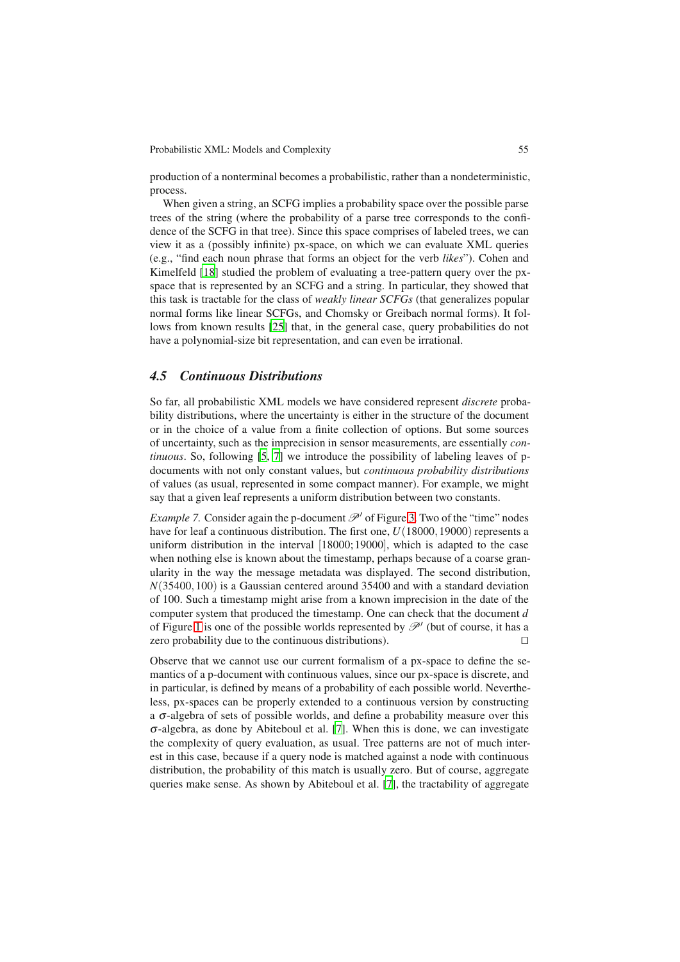production of a nonterminal becomes a probabilistic, rather than a nondeterministic, process.

When given a string, an SCFG implies a probability space over the possible parse trees of the string (where the probability of a parse tree corresponds to the confidence of the SCFG in that tree). Since this space comprises of labeled trees, we can view it as a (possibly infinite) px-space, on which we can evaluate XML queries (e.g., "find each noun phrase that forms an object for the verb *likes*"). Cohen and Kimelfeld [\[18](#page-25-11)] studied the problem of evaluating a tree-pattern query over the pxspace that is represented by an SCFG and a string. In particular, they showed that this task is tractable for the class of *weakly linear SCFGs* (that generalizes popular normal forms like linear SCFGs, and Chomsky or Greibach normal forms). It follows from known results [\[25\]](#page-25-20) that, in the general case, query probabilities do not have a polynomial-size bit representation, and can even be irrational.

## <span id="page-16-0"></span>*4.5 Continuous Distributions*

So far, all probabilistic XML models we have considered represent *discrete* probability distributions, where the uncertainty is either in the structure of the document or in the choice of a value from a finite collection of options. But some sources of uncertainty, such as the imprecision in sensor measurements, are essentially *continuous*. So, following [\[5,](#page-24-8) [7\]](#page-24-10) we introduce the possibility of labeling leaves of pdocuments with not only constant values, but *continuous probability distributions* of values (as usual, represented in some compact manner). For example, we might say that a given leaf represents a uniform distribution between two constants.

*Example 7.* Consider again the p-document  $\mathcal{P}'$  of Figure [3.](#page-13-0) Two of the "time" nodes have for leaf a continuous distribution. The first one,  $U(18000, 19000)$  represents a uniform distribution in the interval [18000;19000], which is adapted to the case when nothing else is known about the timestamp, perhaps because of a coarse granularity in the way the message metadata was displayed. The second distribution, *N*(35400,100) is a Gaussian centered around 35400 and with a standard deviation of 100. Such a timestamp might arise from a known imprecision in the date of the computer system that produced the timestamp. One can check that the document *d* of Figure [1](#page-6-0) is one of the possible worlds represented by  $\mathscr{P}'$  (but of course, it has a zero probability due to the continuous distributions).  $\Box$ 

Observe that we cannot use our current formalism of a px-space to define the semantics of a p-document with continuous values, since our px-space is discrete, and in particular, is defined by means of a probability of each possible world. Nevertheless, px-spaces can be properly extended to a continuous version by constructing a  $\sigma$ -algebra of sets of possible worlds, and define a probability measure over this <sup>σ</sup>-algebra, as done by Abiteboul et al. [\[7](#page-24-10)]. When this is done, we can investigate the complexity of query evaluation, as usual. Tree patterns are not of much interest in this case, because if a query node is matched against a node with continuous distribution, the probability of this match is usually zero. But of course, aggregate queries make sense. As shown by Abiteboul et al. [\[7\]](#page-24-10), the tractability of aggregate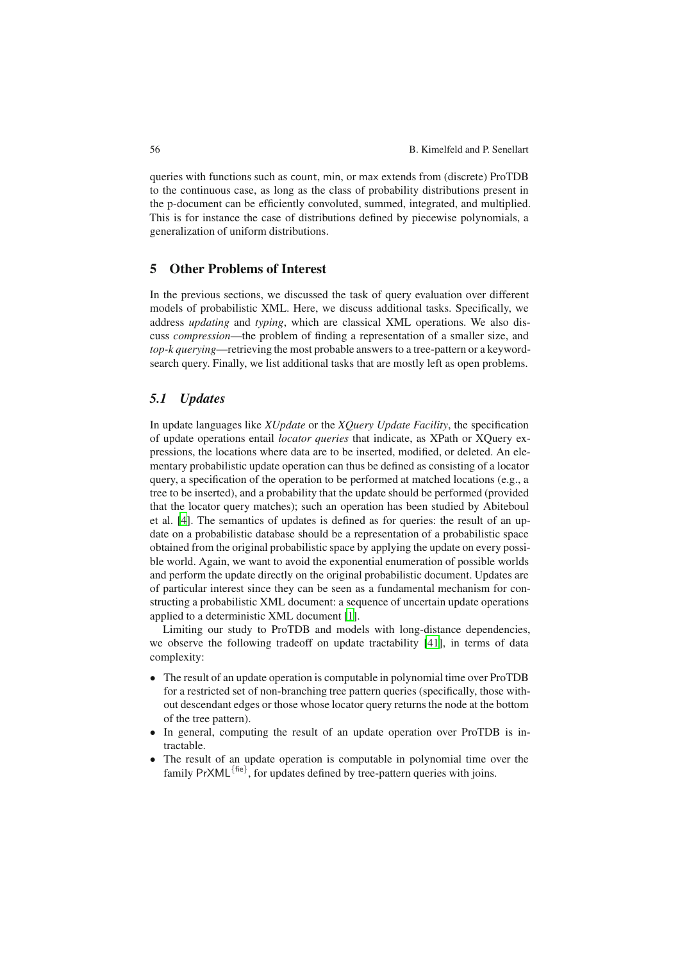queries with functions such as count, min, or max extends from (discrete) ProTDB to the continuous case, as long as the class of probability distributions present in the p-document can be efficiently convoluted, summed, integrated, and multiplied. This is for instance the case of distributions defined by piecewise polynomials, a generalization of uniform distributions.

## <span id="page-17-0"></span>**5 Other Problems of Interest**

In the previous sections, we discussed the task of query evaluation over different models of probabilistic XML. Here, we discuss additional tasks. Specifically, we address *updating* and *typing*, which are classical XML operations. We also discuss *compression*—the problem of finding a representation of a smaller size, and *top-k querying*—retrieving the most probable answers to a tree-pattern or a keywordsearch query. Finally, we list additional tasks that are mostly left as open problems.

#### *5.1 Updates*

In update languages like *XUpdate* or the *XQuery Update Facility*, the specification of update operations entail *locator queries* that indicate, as XPath or XQuery expressions, the locations where data are to be inserted, modified, or deleted. An elementary probabilistic update operation can thus be defined as consisting of a locator query, a specification of the operation to be performed at matched locations (e.g., a tree to be inserted), and a probability that the update should be performed (provided that the locator query matches); such an operation has been studied by Abiteboul et al. [\[4\]](#page-24-4). The semantics of updates is defined as for queries: the result of an update on a probabilistic database should be a representation of a probabilistic space obtained from the original probabilistic space by applying the update on every possible world. Again, we want to avoid the exponential enumeration of possible worlds and perform the update directly on the original probabilistic document. Updates are of particular interest since they can be seen as a fundamental mechanism for constructing a probabilistic XML document: a sequence of uncertain update operations applied to a deterministic XML document [\[1\]](#page-24-2).

Limiting our study to ProTDB and models with long-distance dependencies, we observe the following tradeoff on update tractability [\[41](#page-26-14)], in terms of data complexity:

- The result of an update operation is computable in polynomial time over ProTDB for a restricted set of non-branching tree pattern queries (specifically, those without descendant edges or those whose locator query returns the node at the bottom of the tree pattern).
- In general, computing the result of an update operation over ProTDB is intractable.
- The result of an update operation is computable in polynomial time over the family  $PrXML^{fie}$ , for updates defined by tree-pattern queries with joins.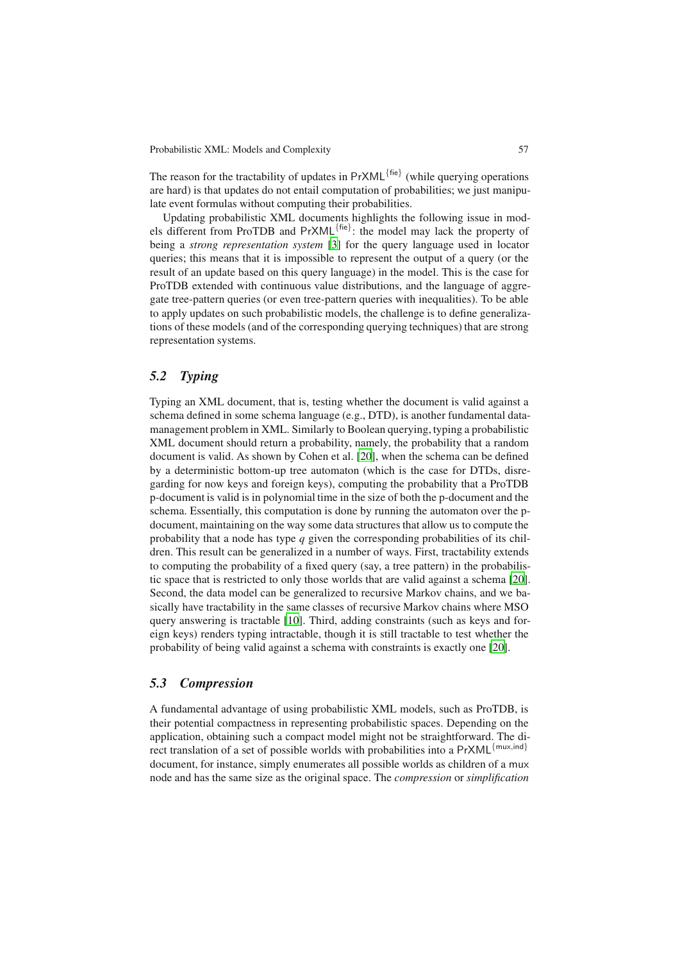The reason for the tractability of updates in  $PrXML^{\{file\}}$  (while querying operations are hard) is that updates do not entail computation of probabilities; we just manipulate event formulas without computing their probabilities.

Updating probabilistic XML documents highlights the following issue in models different from ProTDB and PrXML{fie}: the model may lack the property of being a *strong representation system* [\[3](#page-24-11)] for the query language used in locator queries; this means that it is impossible to represent the output of a query (or the result of an update based on this query language) in the model. This is the case for ProTDB extended with continuous value distributions, and the language of aggregate tree-pattern queries (or even tree-pattern queries with inequalities). To be able to apply updates on such probabilistic models, the challenge is to define generalizations of these models (and of the corresponding querying techniques) that are strong representation systems.

## *5.2 Typing*

Typing an XML document, that is, testing whether the document is valid against a schema defined in some schema language (e.g., DTD), is another fundamental datamanagement problem in XML. Similarly to Boolean querying, typing a probabilistic XML document should return a probability, namely, the probability that a random document is valid. As shown by Cohen et al. [\[20\]](#page-25-13), when the schema can be defined by a deterministic bottom-up tree automaton (which is the case for DTDs, disregarding for now keys and foreign keys), computing the probability that a ProTDB p-document is valid is in polynomial time in the size of both the p-document and the schema. Essentially, this computation is done by running the automaton over the pdocument, maintaining on the way some data structures that allow us to compute the probability that a node has type *q* given the corresponding probabilities of its children. This result can be generalized in a number of ways. First, tractability extends to computing the probability of a fixed query (say, a tree pattern) in the probabilistic space that is restricted to only those worlds that are valid against a schema [\[20\]](#page-25-13). Second, the data model can be generalized to recursive Markov chains, and we basically have tractability in the same classes of recursive Markov chains where MSO query answering is tractable [\[10\]](#page-24-7). Third, adding constraints (such as keys and foreign keys) renders typing intractable, though it is still tractable to test whether the probability of being valid against a schema with constraints is exactly one [\[20](#page-25-13)].

## *5.3 Compression*

A fundamental advantage of using probabilistic XML models, such as ProTDB, is their potential compactness in representing probabilistic spaces. Depending on the application, obtaining such a compact model might not be straightforward. The direct translation of a set of possible worlds with probabilities into a PrXML<sup>{mux,ind}</sup> document, for instance, simply enumerates all possible worlds as children of a mux node and has the same size as the original space. The *compression* or *simplification*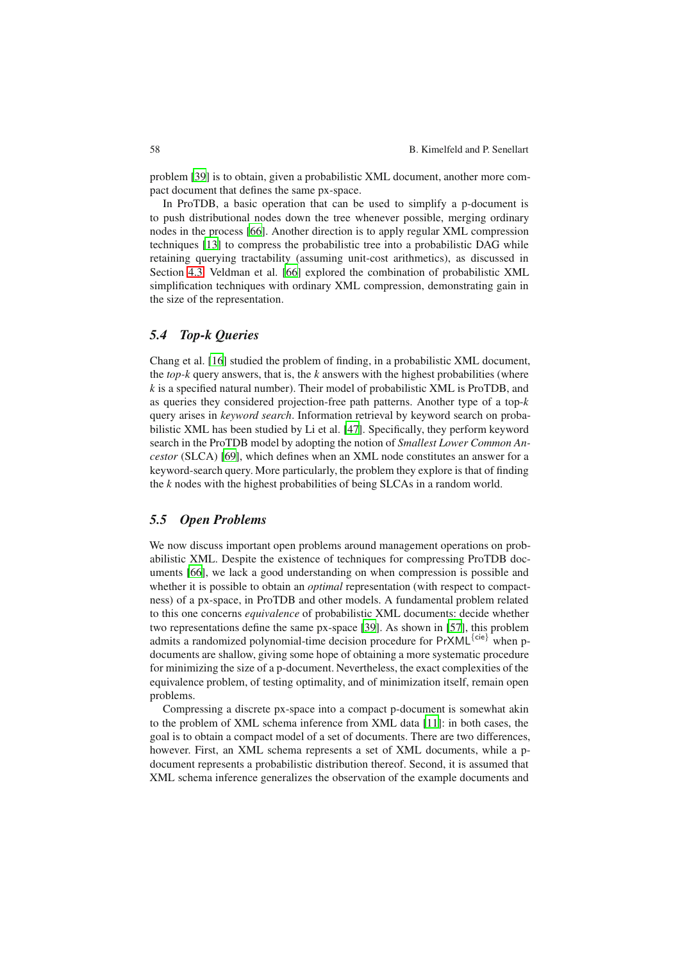problem [\[39](#page-25-9)] is to obtain, given a probabilistic XML document, another more compact document that defines the same px-space.

In ProTDB, a basic operation that can be used to simplify a p-document is to push distributional nodes down the tree whenever possible, merging ordinary nodes in the process [\[66](#page-27-2)]. Another direction is to apply regular XML compression techniques [\[13\]](#page-24-12) to compress the probabilistic tree into a probabilistic DAG while retaining querying tractability (assuming unit-cost arithmetics), as discussed in Section [4.3.](#page-15-0) Veldman et al. [\[66\]](#page-27-2) explored the combination of probabilistic XML simplification techniques with ordinary XML compression, demonstrating gain in the size of the representation.

## *5.4 Top-k Queries*

Chang et al. [\[16](#page-24-13)] studied the problem of finding, in a probabilistic XML document, the *top-k* query answers, that is, the *k* answers with the highest probabilities (where *k* is a specified natural number). Their model of probabilistic XML is ProTDB, and as queries they considered projection-free path patterns. Another type of a top-*k* query arises in *keyword search*. Information retrieval by keyword search on probabilistic XML has been studied by Li et al. [\[47](#page-26-17)]. Specifically, they perform keyword search in the ProTDB model by adopting the notion of *Smallest Lower Common Ancestor* (SLCA) [\[69\]](#page-27-3), which defines when an XML node constitutes an answer for a keyword-search query. More particularly, the problem they explore is that of finding the *k* nodes with the highest probabilities of being SLCAs in a random world.

## *5.5 Open Problems*

We now discuss important open problems around management operations on probabilistic XML. Despite the existence of techniques for compressing ProTDB documents [\[66\]](#page-27-2), we lack a good understanding on when compression is possible and whether it is possible to obtain an *optimal* representation (with respect to compactness) of a px-space, in ProTDB and other models. A fundamental problem related to this one concerns *equivalence* of probabilistic XML documents: decide whether two representations define the same px-space [\[39](#page-25-9)]. As shown in [\[57\]](#page-26-18), this problem admits a randomized polynomial-time decision procedure for  $PrXML^{[cie]}$  when pdocuments are shallow, giving some hope of obtaining a more systematic procedure for minimizing the size of a p-document. Nevertheless, the exact complexities of the equivalence problem, of testing optimality, and of minimization itself, remain open problems.

Compressing a discrete px-space into a compact p-document is somewhat akin to the problem of XML schema inference from XML data [\[11\]](#page-24-14): in both cases, the goal is to obtain a compact model of a set of documents. There are two differences, however. First, an XML schema represents a set of XML documents, while a pdocument represents a probabilistic distribution thereof. Second, it is assumed that XML schema inference generalizes the observation of the example documents and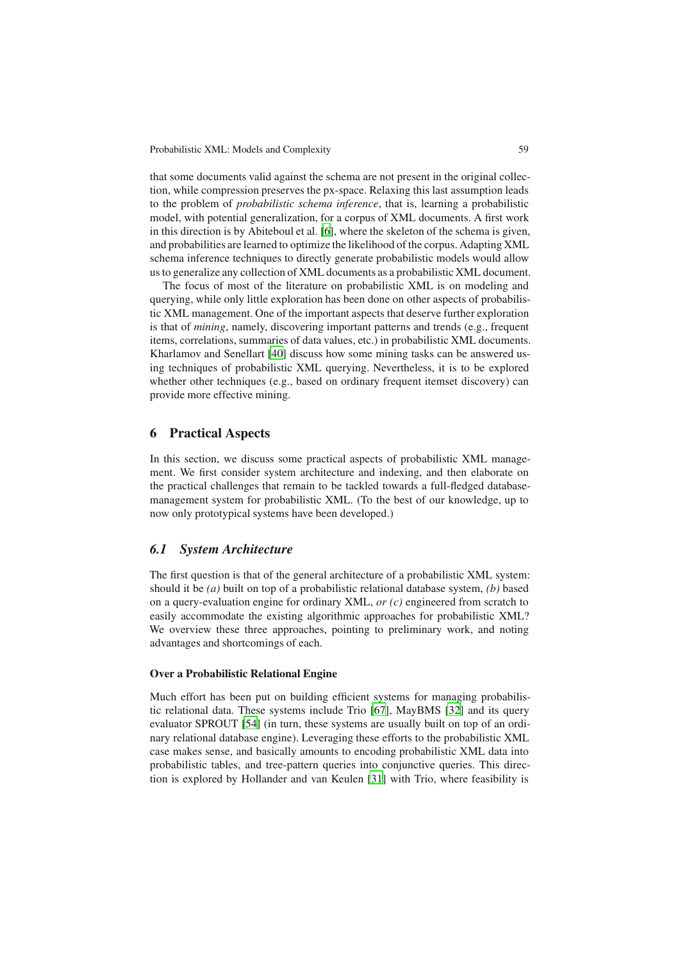that some documents valid against the schema are not present in the original collection, while compression preserves the px-space. Relaxing this last assumption leads to the problem of *probabilistic schema inference*, that is, learning a probabilistic model, with potential generalization, for a corpus of XML documents. A first work in this direction is by Abiteboul et al. [\[6](#page-24-3)], where the skeleton of the schema is given, and probabilities are learned to optimize the likelihood of the corpus. Adapting XML schema inference techniques to directly generate probabilistic models would allow us to generalize any collection of XML documents as a probabilistic XML document.

The focus of most of the literature on probabilistic XML is on modeling and querying, while only little exploration has been done on other aspects of probabilistic XML management. One of the important aspects that deserve further exploration is that of *mining*, namely, discovering important patterns and trends (e.g., frequent items, correlations, summaries of data values, etc.) in probabilistic XML documents. Kharlamov and Senellart [\[40\]](#page-25-21) discuss how some mining tasks can be answered using techniques of probabilistic XML querying. Nevertheless, it is to be explored whether other techniques (e.g., based on ordinary frequent itemset discovery) can provide more effective mining.

#### <span id="page-20-0"></span>**6 Practical Aspects**

In this section, we discuss some practical aspects of probabilistic XML management. We first consider system architecture and indexing, and then elaborate on the practical challenges that remain to be tackled towards a full-fledged databasemanagement system for probabilistic XML. (To the best of our knowledge, up to now only prototypical systems have been developed.)

#### *6.1 System Architecture*

The first question is that of the general architecture of a probabilistic XML system: should it be *(a)* built on top of a probabilistic relational database system, *(b)* based on a query-evaluation engine for ordinary XML, *or (c)* engineered from scratch to easily accommodate the existing algorithmic approaches for probabilistic XML? We overview these three approaches, pointing to preliminary work, and noting advantages and shortcomings of each.

#### **Over a Probabilistic Relational Engine**

Much effort has been put on building efficient systems for managing probabilistic relational data. These systems include Trio [\[67\]](#page-27-1), MayBMS [\[32\]](#page-25-6) and its query evaluator SPROUT [\[54\]](#page-26-19) (in turn, these systems are usually built on top of an ordinary relational database engine). Leveraging these efforts to the probabilistic XML case makes sense, and basically amounts to encoding probabilistic XML data into probabilistic tables, and tree-pattern queries into conjunctive queries. This direction is explored by Hollander and van Keulen [\[31\]](#page-25-3) with Trio, where feasibility is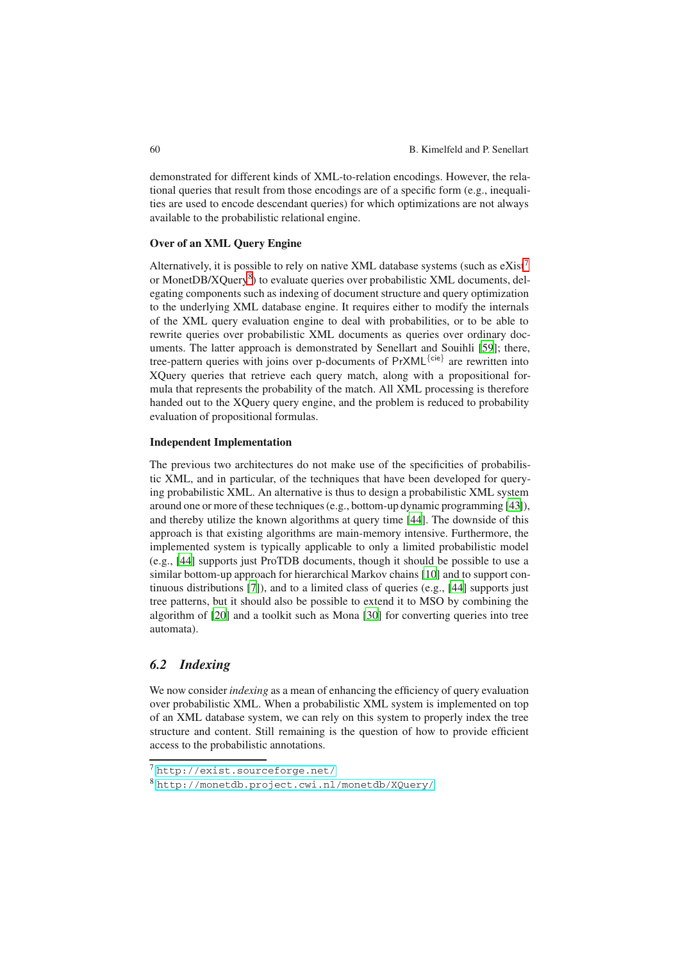demonstrated for different kinds of XML-to-relation encodings. However, the relational queries that result from those encodings are of a specific form (e.g., inequalities are used to encode descendant queries) for which optimizations are not always available to the probabilistic relational engine.

#### **Over of an XML Query Engine**

Alternatively, it is possible to rely on native XML database systems (such as  $eXist^7$ ) or MonetDB/XQuery<sup>8</sup>) to evaluate queries over probabilistic XML documents, delegating components such as indexing of document structure and query optimization to the underlying XML database engine. It requires either to modify the internals of the XML query evaluation engine to deal with probabilities, or to be able to rewrite queries over probabilistic XML documents as queries over ordinary documents. The latter approach is demonstrated by Senellart and Souihli [\[59](#page-26-20)]; there, tree-pattern queries with joins over p-documents of PrXML<sup>{cie}</sup> are rewritten into XQuery queries that retrieve each query match, along with a propositional formula that represents the probability of the match. All XML processing is therefore handed out to the XQuery query engine, and the problem is reduced to probability evaluation of propositional formulas.

#### **Independent Implementation**

The previous two architectures do not make use of the specificities of probabilistic XML, and in particular, of the techniques that have been developed for querying probabilistic XML. An alternative is thus to design a probabilistic XML system around one or more of these techniques (e.g., bottom-up dynamic programming [\[43\]](#page-26-6)), and thereby utilize the known algorithms at query time [\[44](#page-26-15)]. The downside of this approach is that existing algorithms are main-memory intensive. Furthermore, the implemented system is typically applicable to only a limited probabilistic model (e.g., [\[44\]](#page-26-15) supports just ProTDB documents, though it should be possible to use a similar bottom-up approach for hierarchical Markov chains [\[10](#page-24-7)] and to support continuous distributions [\[7\]](#page-24-10)), and to a limited class of queries (e.g., [\[44\]](#page-26-15) supports just tree patterns, but it should also be possible to extend it to MSO by combining the algorithm of [\[20\]](#page-25-13) and a toolkit such as Mona [\[30](#page-25-22)] for converting queries into tree automata).

#### *6.2 Indexing*

We now consider *indexing* as a mean of enhancing the efficiency of query evaluation over probabilistic XML. When a probabilistic XML system is implemented on top of an XML database system, we can rely on this system to properly index the tree structure and content. Still remaining is the question of how to provide efficient access to the probabilistic annotations.

<sup>7</sup> <http://exist.sourceforge.net/>

<sup>8</sup> <http://monetdb.project.cwi.nl/monetdb/XQuery/>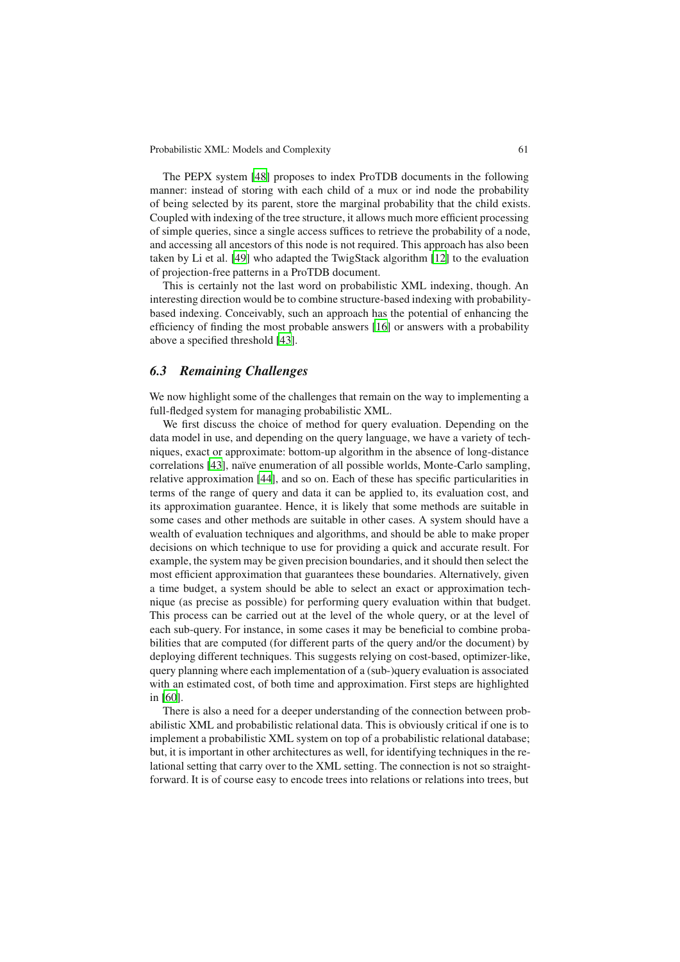The PEPX system [\[48](#page-26-21)] proposes to index ProTDB documents in the following manner: instead of storing with each child of a mux or ind node the probability of being selected by its parent, store the marginal probability that the child exists. Coupled with indexing of the tree structure, it allows much more efficient processing of simple queries, since a single access suffices to retrieve the probability of a node, and accessing all ancestors of this node is not required. This approach has also been taken by Li et al. [\[49\]](#page-26-22) who adapted the TwigStack algorithm [\[12](#page-24-6)] to the evaluation of projection-free patterns in a ProTDB document.

This is certainly not the last word on probabilistic XML indexing, though. An interesting direction would be to combine structure-based indexing with probabilitybased indexing. Conceivably, such an approach has the potential of enhancing the efficiency of finding the most probable answers [\[16\]](#page-24-13) or answers with a probability above a specified threshold [\[43\]](#page-26-6).

#### <span id="page-22-0"></span>*6.3 Remaining Challenges*

We now highlight some of the challenges that remain on the way to implementing a full-fledged system for managing probabilistic XML.

We first discuss the choice of method for query evaluation. Depending on the data model in use, and depending on the query language, we have a variety of techniques, exact or approximate: bottom-up algorithm in the absence of long-distance correlations [\[43\]](#page-26-6), naïve enumeration of all possible worlds, Monte-Carlo sampling, relative approximation [\[44\]](#page-26-15), and so on. Each of these has specific particularities in terms of the range of query and data it can be applied to, its evaluation cost, and its approximation guarantee. Hence, it is likely that some methods are suitable in some cases and other methods are suitable in other cases. A system should have a wealth of evaluation techniques and algorithms, and should be able to make proper decisions on which technique to use for providing a quick and accurate result. For example, the system may be given precision boundaries, and it should then select the most efficient approximation that guarantees these boundaries. Alternatively, given a time budget, a system should be able to select an exact or approximation technique (as precise as possible) for performing query evaluation within that budget. This process can be carried out at the level of the whole query, or at the level of each sub-query. For instance, in some cases it may be beneficial to combine probabilities that are computed (for different parts of the query and/or the document) by deploying different techniques. This suggests relying on cost-based, optimizer-like, query planning where each implementation of a (sub-)query evaluation is associated with an estimated cost, of both time and approximation. First steps are highlighted in [\[60\]](#page-26-23).

There is also a need for a deeper understanding of the connection between probabilistic XML and probabilistic relational data. This is obviously critical if one is to implement a probabilistic XML system on top of a probabilistic relational database; but, it is important in other architectures as well, for identifying techniques in the relational setting that carry over to the XML setting. The connection is not so straightforward. It is of course easy to encode trees into relations or relations into trees, but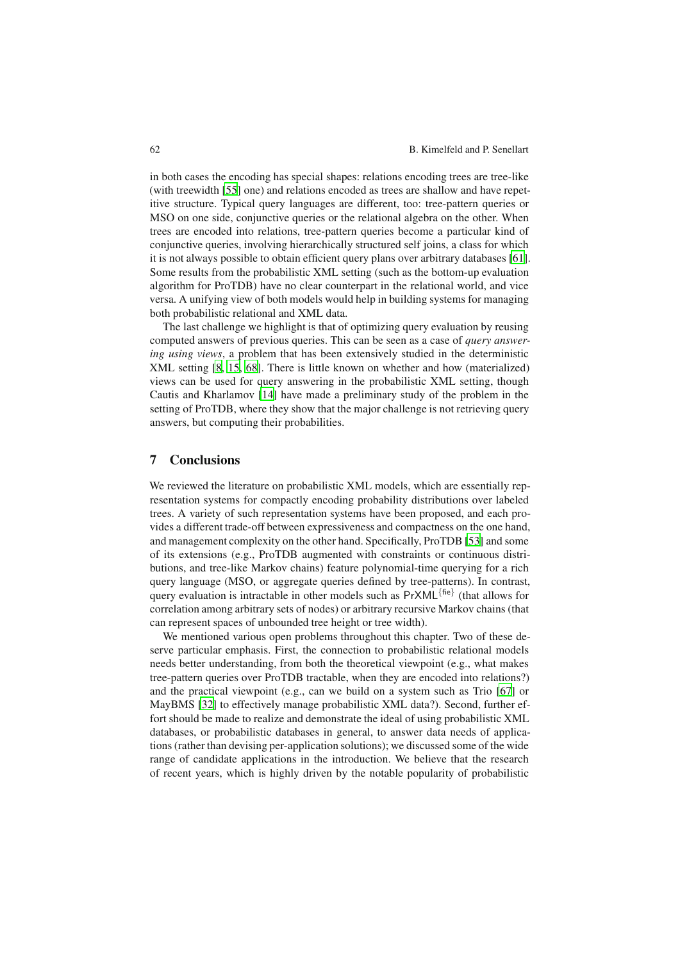#### 62 B. Kimelfeld and P. Senellart

in both cases the encoding has special shapes: relations encoding trees are tree-like (with treewidth [\[55\]](#page-26-24) one) and relations encoded as trees are shallow and have repetitive structure. Typical query languages are different, too: tree-pattern queries or MSO on one side, conjunctive queries or the relational algebra on the other. When trees are encoded into relations, tree-pattern queries become a particular kind of conjunctive queries, involving hierarchically structured self joins, a class for which it is not always possible to obtain efficient query plans over arbitrary databases [\[61\]](#page-26-5). Some results from the probabilistic XML setting (such as the bottom-up evaluation algorithm for ProTDB) have no clear counterpart in the relational world, and vice versa. A unifying view of both models would help in building systems for managing both probabilistic relational and XML data.

The last challenge we highlight is that of optimizing query evaluation by reusing computed answers of previous queries. This can be seen as a case of *query answering using views*, a problem that has been extensively studied in the deterministic XML setting [\[8](#page-24-15), [15,](#page-24-16) [68](#page-27-4)]. There is little known on whether and how (materialized) views can be used for query answering in the probabilistic XML setting, though Cautis and Kharlamov [\[14\]](#page-24-17) have made a preliminary study of the problem in the setting of ProTDB, where they show that the major challenge is not retrieving query answers, but computing their probabilities.

#### <span id="page-23-0"></span>**7 Conclusions**

We reviewed the literature on probabilistic XML models, which are essentially representation systems for compactly encoding probability distributions over labeled trees. A variety of such representation systems have been proposed, and each provides a different trade-off between expressiveness and compactness on the one hand, and management complexity on the other hand. Specifically, ProTDB [\[53](#page-26-3)] and some of its extensions (e.g., ProTDB augmented with constraints or continuous distributions, and tree-like Markov chains) feature polynomial-time querying for a rich query language (MSO, or aggregate queries defined by tree-patterns). In contrast, query evaluation is intractable in other models such as PrXML<sup>{fie}</sup> (that allows for correlation among arbitrary sets of nodes) or arbitrary recursive Markov chains (that can represent spaces of unbounded tree height or tree width).

We mentioned various open problems throughout this chapter. Two of these deserve particular emphasis. First, the connection to probabilistic relational models needs better understanding, from both the theoretical viewpoint (e.g., what makes tree-pattern queries over ProTDB tractable, when they are encoded into relations?) and the practical viewpoint (e.g., can we build on a system such as Trio [\[67\]](#page-27-1) or MayBMS [\[32\]](#page-25-6) to effectively manage probabilistic XML data?). Second, further effort should be made to realize and demonstrate the ideal of using probabilistic XML databases, or probabilistic databases in general, to answer data needs of applications (rather than devising per-application solutions); we discussed some of the wide range of candidate applications in the introduction. We believe that the research of recent years, which is highly driven by the notable popularity of probabilistic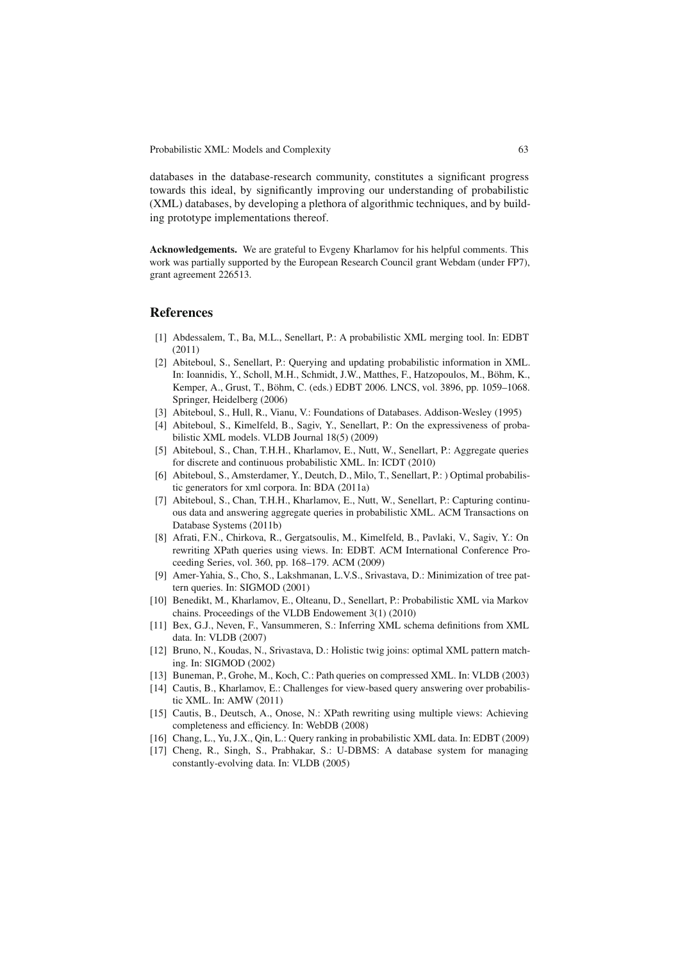databases in the database-research community, constitutes a significant progress towards this ideal, by significantly improving our understanding of probabilistic (XML) databases, by developing a plethora of algorithmic techniques, and by building prototype implementations thereof.

**Acknowledgements.** We are grateful to Evgeny Kharlamov for his helpful comments. This work was partially supported by the European Research Council grant Webdam (under FP7), grant agreement 226513.

#### <span id="page-24-0"></span>**References**

- <span id="page-24-2"></span>[1] Abdessalem, T., Ba, M.L., Senellart, P.: A probabilistic XML merging tool. In: EDBT (2011)
- <span id="page-24-9"></span>[2] Abiteboul, S., Senellart, P.: Querying and updating probabilistic information in XML. In: Ioannidis, Y., Scholl, M.H., Schmidt, J.W., Matthes, F., Hatzopoulos, M., Böhm, K., Kemper, A., Grust, T., Böhm, C. (eds.) EDBT 2006. LNCS, vol. 3896, pp. 1059–1068. Springer, Heidelberg (2006)
- <span id="page-24-11"></span>[3] Abiteboul, S., Hull, R., Vianu, V.: Foundations of Databases. Addison-Wesley (1995)
- <span id="page-24-4"></span>[4] Abiteboul, S., Kimelfeld, B., Sagiv, Y., Senellart, P.: On the expressiveness of probabilistic XML models. VLDB Journal 18(5) (2009)
- <span id="page-24-8"></span>[5] Abiteboul, S., Chan, T.H.H., Kharlamov, E., Nutt, W., Senellart, P.: Aggregate queries for discrete and continuous probabilistic XML. In: ICDT (2010)
- <span id="page-24-3"></span>[6] Abiteboul, S., Amsterdamer, Y., Deutch, D., Milo, T., Senellart, P.: ) Optimal probabilistic generators for xml corpora. In: BDA (2011a)
- <span id="page-24-10"></span>[7] Abiteboul, S., Chan, T.H.H., Kharlamov, E., Nutt, W., Senellart, P.: Capturing continuous data and answering aggregate queries in probabilistic XML. ACM Transactions on Database Systems (2011b)
- <span id="page-24-15"></span>[8] Afrati, F.N., Chirkova, R., Gergatsoulis, M., Kimelfeld, B., Pavlaki, V., Sagiv, Y.: On rewriting XPath queries using views. In: EDBT. ACM International Conference Proceeding Series, vol. 360, pp. 168–179. ACM (2009)
- <span id="page-24-5"></span>[9] Amer-Yahia, S., Cho, S., Lakshmanan, L.V.S., Srivastava, D.: Minimization of tree pattern queries. In: SIGMOD (2001)
- <span id="page-24-7"></span>[10] Benedikt, M., Kharlamov, E., Olteanu, D., Senellart, P.: Probabilistic XML via Markov chains. Proceedings of the VLDB Endowement 3(1) (2010)
- <span id="page-24-14"></span>[11] Bex, G.J., Neven, F., Vansummeren, S.: Inferring XML schema definitions from XML data. In: VLDB (2007)
- <span id="page-24-6"></span>[12] Bruno, N., Koudas, N., Srivastava, D.: Holistic twig joins: optimal XML pattern matching. In: SIGMOD (2002)
- <span id="page-24-12"></span>[13] Buneman, P., Grohe, M., Koch, C.: Path queries on compressed XML. In: VLDB (2003)
- <span id="page-24-17"></span>[14] Cautis, B., Kharlamov, E.: Challenges for view-based query answering over probabilistic XML. In: AMW (2011)
- <span id="page-24-16"></span>[15] Cautis, B., Deutsch, A., Onose, N.: XPath rewriting using multiple views: Achieving completeness and efficiency. In: WebDB (2008)
- <span id="page-24-13"></span>[16] Chang, L., Yu, J.X., Qin, L.: Query ranking in probabilistic XML data. In: EDBT (2009)
- <span id="page-24-1"></span>[17] Cheng, R., Singh, S., Prabhakar, S.: U-DBMS: A database system for managing constantly-evolving data. In: VLDB (2005)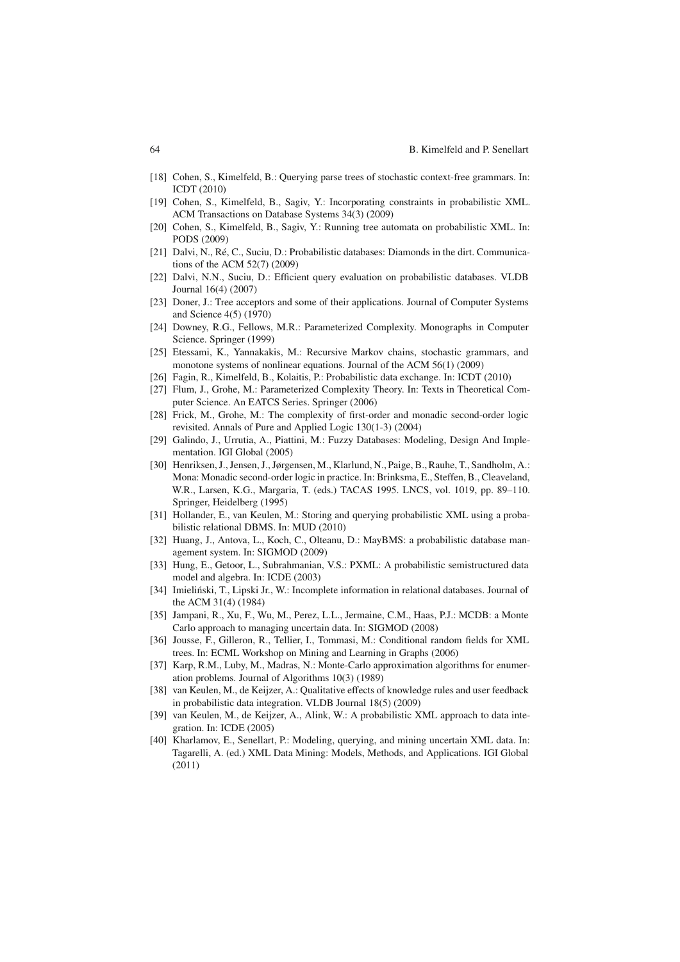- <span id="page-25-11"></span>[18] Cohen, S., Kimelfeld, B.: Querying parse trees of stochastic context-free grammars. In: ICDT (2010)
- <span id="page-25-16"></span>[19] Cohen, S., Kimelfeld, B., Sagiv, Y.: Incorporating constraints in probabilistic XML. ACM Transactions on Database Systems 34(3) (2009)
- <span id="page-25-13"></span>[20] Cohen, S., Kimelfeld, B., Sagiv, Y.: Running tree automata on probabilistic XML. In: PODS (2009)
- <span id="page-25-5"></span>[21] Dalvi, N., Ré, C., Suciu, D.: Probabilistic databases: Diamonds in the dirt. Communications of the ACM 52(7) (2009)
- <span id="page-25-2"></span>[22] Dalvi, N.N., Suciu, D.: Efficient query evaluation on probabilistic databases. VLDB Journal 16(4) (2007)
- <span id="page-25-12"></span>[23] Doner, J.: Tree acceptors and some of their applications. Journal of Computer Systems and Science 4(5) (1970)
- <span id="page-25-14"></span>[24] Downey, R.G., Fellows, M.R.: Parameterized Complexity. Monographs in Computer Science. Springer (1999)
- <span id="page-25-20"></span>[25] Etessami, K., Yannakakis, M.: Recursive Markov chains, stochastic grammars, and monotone systems of nonlinear equations. Journal of the ACM 56(1) (2009)
- <span id="page-25-4"></span>[26] Fagin, R., Kimelfeld, B., Kolaitis, P.: Probabilistic data exchange. In: ICDT (2010)
- <span id="page-25-17"></span>[27] Flum, J., Grohe, M.: Parameterized Complexity Theory. In: Texts in Theoretical Computer Science. An EATCS Series. Springer (2006)
- <span id="page-25-15"></span>[28] Frick, M., Grohe, M.: The complexity of first-order and monadic second-order logic revisited. Annals of Pure and Applied Logic 130(1-3) (2004)
- <span id="page-25-1"></span>[29] Galindo, J., Urrutia, A., Piattini, M.: Fuzzy Databases: Modeling, Design And Implementation. IGI Global (2005)
- <span id="page-25-22"></span>[30] Henriksen, J., Jensen, J., Jørgensen, M., Klarlund, N., Paige, B., Rauhe, T., Sandholm, A.: Mona: Monadic second-order logic in practice. In: Brinksma, E., Steffen, B., Cleaveland, W.R., Larsen, K.G., Margaria, T. (eds.) TACAS 1995. LNCS, vol. 1019, pp. 89–110. Springer, Heidelberg (1995)
- <span id="page-25-3"></span>[31] Hollander, E., van Keulen, M.: Storing and querying probabilistic XML using a probabilistic relational DBMS. In: MUD (2010)
- <span id="page-25-6"></span>[32] Huang, J., Antova, L., Koch, C., Olteanu, D.: MayBMS: a probabilistic database management system. In: SIGMOD (2009)
- <span id="page-25-19"></span>[33] Hung, E., Getoor, L., Subrahmanian, V.S.: PXML: A probabilistic semistructured data model and algebra. In: ICDE (2003)
- <span id="page-25-0"></span>[34] Imieliński, T., Lipski Jr., W.: Incomplete information in relational databases. Journal of the ACM 31(4) (1984)
- <span id="page-25-7"></span>[35] Jampani, R., Xu, F., Wu, M., Perez, L.L., Jermaine, C.M., Haas, P.J.: MCDB: a Monte Carlo approach to managing uncertain data. In: SIGMOD (2008)
- <span id="page-25-10"></span>[36] Jousse, F., Gilleron, R., Tellier, I., Tommasi, M.: Conditional random fields for XML trees. In: ECML Workshop on Mining and Learning in Graphs (2006)
- <span id="page-25-18"></span>[37] Karp, R.M., Luby, M., Madras, N.: Monte-Carlo approximation algorithms for enumeration problems. Journal of Algorithms 10(3) (1989)
- <span id="page-25-8"></span>[38] van Keulen, M., de Keijzer, A.: Qualitative effects of knowledge rules and user feedback in probabilistic data integration. VLDB Journal 18(5) (2009)
- <span id="page-25-9"></span>[39] van Keulen, M., de Keijzer, A., Alink, W.: A probabilistic XML approach to data integration. In: ICDE (2005)
- <span id="page-25-21"></span>[40] Kharlamov, E., Senellart, P.: Modeling, querying, and mining uncertain XML data. In: Tagarelli, A. (ed.) XML Data Mining: Models, Methods, and Applications. IGI Global (2011)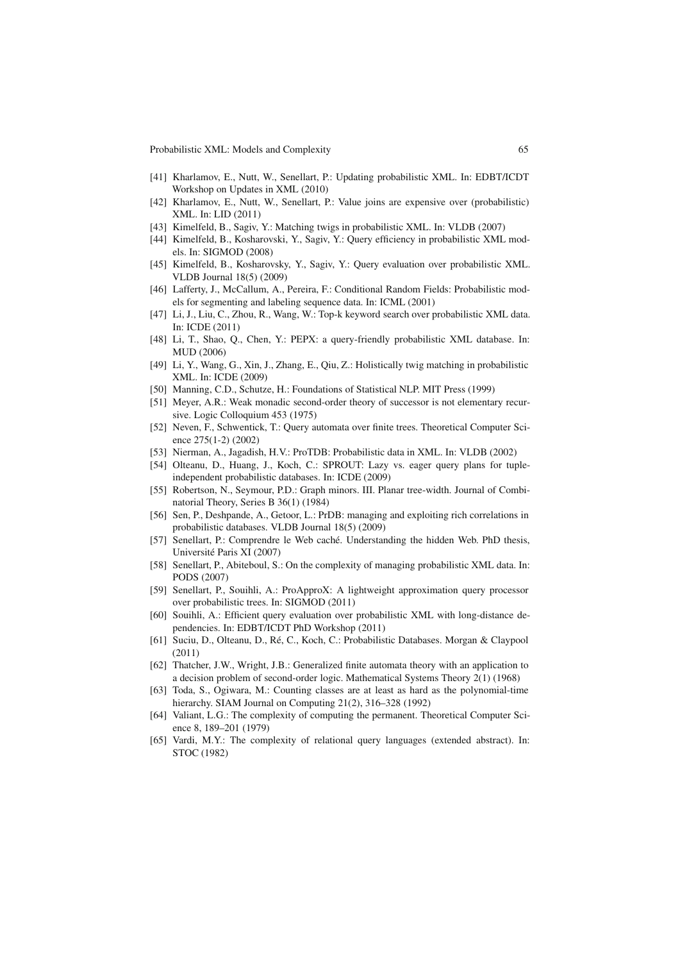- <span id="page-26-14"></span>[41] Kharlamov, E., Nutt, W., Senellart, P.: Updating probabilistic XML. In: EDBT/ICDT Workshop on Updates in XML (2010)
- <span id="page-26-11"></span>[42] Kharlamov, E., Nutt, W., Senellart, P.: Value joins are expensive over (probabilistic) XML. In: LID (2011)
- <span id="page-26-6"></span>[43] Kimelfeld, B., Sagiv, Y.: Matching twigs in probabilistic XML. In: VLDB (2007)
- <span id="page-26-15"></span>[44] Kimelfeld, B., Kosharovski, Y., Sagiv, Y.: Query efficiency in probabilistic XML models. In: SIGMOD (2008)
- <span id="page-26-2"></span>[45] Kimelfeld, B., Kosharovsky, Y., Sagiv, Y.: Query evaluation over probabilistic XML. VLDB Journal 18(5) (2009)
- <span id="page-26-0"></span>[46] Lafferty, J., McCallum, A., Pereira, F.: Conditional Random Fields: Probabilistic models for segmenting and labeling sequence data. In: ICML (2001)
- <span id="page-26-17"></span>[47] Li, J., Liu, C., Zhou, R., Wang, W.: Top-k keyword search over probabilistic XML data. In: ICDE (2011)
- <span id="page-26-21"></span>[48] Li, T., Shao, Q., Chen, Y.: PEPX: a query-friendly probabilistic XML database. In: MUD (2006)
- <span id="page-26-22"></span>[49] Li, Y., Wang, G., Xin, J., Zhang, E., Qiu, Z.: Holistically twig matching in probabilistic XML. In: ICDE (2009)
- <span id="page-26-1"></span>[50] Manning, C.D., Schutze, H.: Foundations of Statistical NLP. MIT Press (1999)
- <span id="page-26-10"></span>[51] Meyer, A.R.: Weak monadic second-order theory of successor is not elementary recursive. Logic Colloquium 453 (1975)
- <span id="page-26-7"></span>[52] Neven, F., Schwentick, T.: Query automata over finite trees. Theoretical Computer Science 275(1-2) (2002)
- <span id="page-26-3"></span>[53] Nierman, A., Jagadish, H.V.: ProTDB: Probabilistic data in XML. In: VLDB (2002)
- <span id="page-26-19"></span>[54] Olteanu, D., Huang, J., Koch, C.: SPROUT: Lazy vs. eager query plans for tupleindependent probabilistic databases. In: ICDE (2009)
- <span id="page-26-24"></span>[55] Robertson, N., Seymour, P.D.: Graph minors. III. Planar tree-width. Journal of Combinatorial Theory, Series B 36(1) (1984)
- <span id="page-26-4"></span>[56] Sen, P., Deshpande, A., Getoor, L.: PrDB: managing and exploiting rich correlations in probabilistic databases. VLDB Journal 18(5) (2009)
- <span id="page-26-18"></span>[57] Senellart, P.: Comprendre le Web caché. Understanding the hidden Web. PhD thesis, Université Paris XI (2007)
- <span id="page-26-16"></span>[58] Senellart, P., Abiteboul, S.: On the complexity of managing probabilistic XML data. In: PODS (2007)
- <span id="page-26-20"></span>[59] Senellart, P., Souihli, A.: ProApproX: A lightweight approximation query processor over probabilistic trees. In: SIGMOD (2011)
- <span id="page-26-23"></span>[60] Souihli, A.: Efficient query evaluation over probabilistic XML with long-distance dependencies. In: EDBT/ICDT PhD Workshop (2011)
- <span id="page-26-5"></span>[61] Suciu, D., Olteanu, D., R´e, C., Koch, C.: Probabilistic Databases. Morgan & Claypool (2011)
- <span id="page-26-8"></span>[62] Thatcher, J.W., Wright, J.B.: Generalized finite automata theory with an application to a decision problem of second-order logic. Mathematical Systems Theory 2(1) (1968)
- <span id="page-26-13"></span>[63] Toda, S., Ogiwara, M.: Counting classes are at least as hard as the polynomial-time hierarchy. SIAM Journal on Computing 21(2), 316–328 (1992)
- <span id="page-26-12"></span>[64] Valiant, L.G.: The complexity of computing the permanent. Theoretical Computer Science 8, 189–201 (1979)
- <span id="page-26-9"></span>[65] Vardi, M.Y.: The complexity of relational query languages (extended abstract). In: STOC (1982)